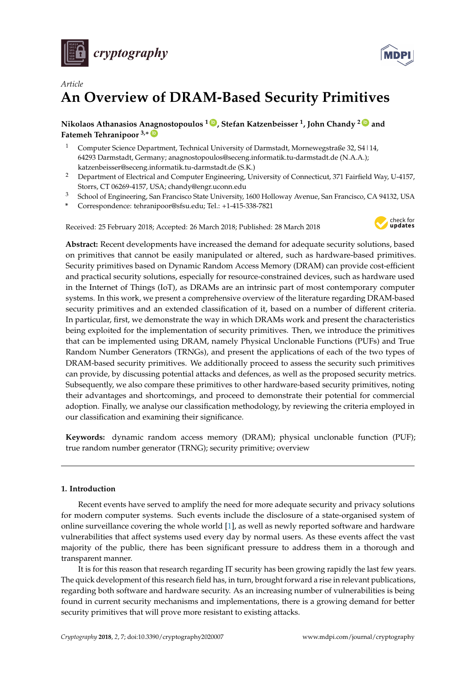



# *Article* **An Overview of DRAM-Based Security Primitives**

# **Nikolaos Athanasios Anagnostopoulos <sup>1</sup> [ID](https://orcid.org/0000-0003-0243-8594) , Stefan Katzenbeisser <sup>1</sup> , John Chandy <sup>2</sup> [ID](https://orcid.org/0000-0003-3449-3205) and Fatemeh Tehranipoor 3,**<sup>∗</sup> **[ID](https://orcid.org/0000-0001-8410-4306)**

- <sup>1</sup> Computer Science Department, Technical University of Darmstadt, Mornewegstraße 32, S4|14, 64293 Darmstadt, Germany; anagnostopoulos@seceng.informatik.tu-darmstadt.de (N.A.A.); katzenbeisser@seceng.informatik.tu-darmstadt.de (S.K.)
- <sup>2</sup> Department of Electrical and Computer Engineering, University of Connecticut, 371 Fairfield Way, U-4157, Storrs, CT 06269-4157, USA; chandy@engr.uconn.edu
- <sup>3</sup> School of Engineering, San Francisco State University, 1600 Holloway Avenue, San Francisco, CA 94132, USA
- **\*** Correspondence: tehranipoor@sfsu.edu; Tel.: +1-415-338-7821

Received: 25 February 2018; Accepted: 26 March 2018; Published: 28 March 2018



**Abstract:** Recent developments have increased the demand for adequate security solutions, based on primitives that cannot be easily manipulated or altered, such as hardware-based primitives. Security primitives based on Dynamic Random Access Memory (DRAM) can provide cost-efficient and practical security solutions, especially for resource-constrained devices, such as hardware used in the Internet of Things (IoT), as DRAMs are an intrinsic part of most contemporary computer systems. In this work, we present a comprehensive overview of the literature regarding DRAM-based security primitives and an extended classification of it, based on a number of different criteria. In particular, first, we demonstrate the way in which DRAMs work and present the characteristics being exploited for the implementation of security primitives. Then, we introduce the primitives that can be implemented using DRAM, namely Physical Unclonable Functions (PUFs) and True Random Number Generators (TRNGs), and present the applications of each of the two types of DRAM-based security primitives. We additionally proceed to assess the security such primitives can provide, by discussing potential attacks and defences, as well as the proposed security metrics. Subsequently, we also compare these primitives to other hardware-based security primitives, noting their advantages and shortcomings, and proceed to demonstrate their potential for commercial adoption. Finally, we analyse our classification methodology, by reviewing the criteria employed in our classification and examining their significance.

**Keywords:** dynamic random access memory (DRAM); physical unclonable function (PUF); true random number generator (TRNG); security primitive; overview

## **1. Introduction**

Recent events have served to amplify the need for more adequate security and privacy solutions for modern computer systems. Such events include the disclosure of a state-organised system of online surveillance covering the whole world [\[1\]](#page-27-0), as well as newly reported software and hardware vulnerabilities that affect systems used every day by normal users. As these events affect the vast majority of the public, there has been significant pressure to address them in a thorough and transparent manner.

It is for this reason that research regarding IT security has been growing rapidly the last few years. The quick development of this research field has, in turn, brought forward a rise in relevant publications, regarding both software and hardware security. As an increasing number of vulnerabilities is being found in current security mechanisms and implementations, there is a growing demand for better security primitives that will prove more resistant to existing attacks.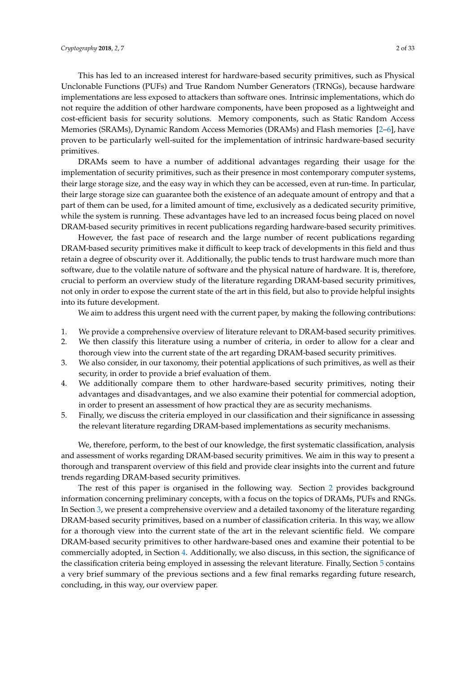This has led to an increased interest for hardware-based security primitives, such as Physical Unclonable Functions (PUFs) and True Random Number Generators (TRNGs), because hardware implementations are less exposed to attackers than software ones. Intrinsic implementations, which do not require the addition of other hardware components, have been proposed as a lightweight and

cost-efficient basis for security solutions. Memory components, such as Static Random Access Memories (SRAMs), Dynamic Random Access Memories (DRAMs) and Flash memories [\[2](#page-27-1)[–6\]](#page-27-2), have proven to be particularly well-suited for the implementation of intrinsic hardware-based security primitives.

DRAMs seem to have a number of additional advantages regarding their usage for the implementation of security primitives, such as their presence in most contemporary computer systems, their large storage size, and the easy way in which they can be accessed, even at run-time. In particular, their large storage size can guarantee both the existence of an adequate amount of entropy and that a part of them can be used, for a limited amount of time, exclusively as a dedicated security primitive, while the system is running. These advantages have led to an increased focus being placed on novel DRAM-based security primitives in recent publications regarding hardware-based security primitives.

However, the fast pace of research and the large number of recent publications regarding DRAM-based security primitives make it difficult to keep track of developments in this field and thus retain a degree of obscurity over it. Additionally, the public tends to trust hardware much more than software, due to the volatile nature of software and the physical nature of hardware. It is, therefore, crucial to perform an overview study of the literature regarding DRAM-based security primitives, not only in order to expose the current state of the art in this field, but also to provide helpful insights into its future development.

We aim to address this urgent need with the current paper, by making the following contributions:

- 1. We provide a comprehensive overview of literature relevant to DRAM-based security primitives.
- 2. We then classify this literature using a number of criteria, in order to allow for a clear and thorough view into the current state of the art regarding DRAM-based security primitives.
- 3. We also consider, in our taxonomy, their potential applications of such primitives, as well as their security, in order to provide a brief evaluation of them.
- 4. We additionally compare them to other hardware-based security primitives, noting their advantages and disadvantages, and we also examine their potential for commercial adoption, in order to present an assessment of how practical they are as security mechanisms.
- 5. Finally, we discuss the criteria employed in our classification and their significance in assessing the relevant literature regarding DRAM-based implementations as security mechanisms.

We, therefore, perform, to the best of our knowledge, the first systematic classification, analysis and assessment of works regarding DRAM-based security primitives. We aim in this way to present a thorough and transparent overview of this field and provide clear insights into the current and future trends regarding DRAM-based security primitives.

The rest of this paper is organised in the following way. Section [2](#page-2-0) provides background information concerning preliminary concepts, with a focus on the topics of DRAMs, PUFs and RNGs. In Section [3,](#page-10-0) we present a comprehensive overview and a detailed taxonomy of the literature regarding DRAM-based security primitives, based on a number of classification criteria. In this way, we allow for a thorough view into the current state of the art in the relevant scientific field. We compare DRAM-based security primitives to other hardware-based ones and examine their potential to be commercially adopted, in Section [4.](#page-23-0) Additionally, we also discuss, in this section, the significance of the classification criteria being employed in assessing the relevant literature. Finally, Section [5](#page-25-0) contains a very brief summary of the previous sections and a few final remarks regarding future research, concluding, in this way, our overview paper.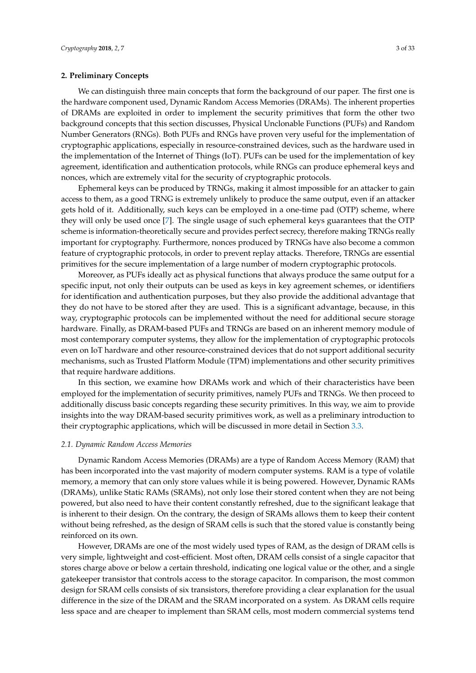## <span id="page-2-0"></span>**2. Preliminary Concepts**

We can distinguish three main concepts that form the background of our paper. The first one is the hardware component used, Dynamic Random Access Memories (DRAMs). The inherent properties of DRAMs are exploited in order to implement the security primitives that form the other two background concepts that this section discusses, Physical Unclonable Functions (PUFs) and Random Number Generators (RNGs). Both PUFs and RNGs have proven very useful for the implementation of cryptographic applications, especially in resource-constrained devices, such as the hardware used in the implementation of the Internet of Things (IoT). PUFs can be used for the implementation of key agreement, identification and authentication protocols, while RNGs can produce ephemeral keys and nonces, which are extremely vital for the security of cryptographic protocols.

Ephemeral keys can be produced by TRNGs, making it almost impossible for an attacker to gain access to them, as a good TRNG is extremely unlikely to produce the same output, even if an attacker gets hold of it. Additionally, such keys can be employed in a one-time pad (OTP) scheme, where they will only be used once [\[7\]](#page-27-3). The single usage of such ephemeral keys guarantees that the OTP scheme is information-theoretically secure and provides perfect secrecy, therefore making TRNGs really important for cryptography. Furthermore, nonces produced by TRNGs have also become a common feature of cryptographic protocols, in order to prevent replay attacks. Therefore, TRNGs are essential primitives for the secure implementation of a large number of modern cryptographic protocols.

Moreover, as PUFs ideally act as physical functions that always produce the same output for a specific input, not only their outputs can be used as keys in key agreement schemes, or identifiers for identification and authentication purposes, but they also provide the additional advantage that they do not have to be stored after they are used. This is a significant advantage, because, in this way, cryptographic protocols can be implemented without the need for additional secure storage hardware. Finally, as DRAM-based PUFs and TRNGs are based on an inherent memory module of most contemporary computer systems, they allow for the implementation of cryptographic protocols even on IoT hardware and other resource-constrained devices that do not support additional security mechanisms, such as Trusted Platform Module (TPM) implementations and other security primitives that require hardware additions.

In this section, we examine how DRAMs work and which of their characteristics have been employed for the implementation of security primitives, namely PUFs and TRNGs. We then proceed to additionally discuss basic concepts regarding these security primitives. In this way, we aim to provide insights into the way DRAM-based security primitives work, as well as a preliminary introduction to their cryptographic applications, which will be discussed in more detail in Section [3.3.](#page-16-0)

#### *2.1. Dynamic Random Access Memories*

Dynamic Random Access Memories (DRAMs) are a type of Random Access Memory (RAM) that has been incorporated into the vast majority of modern computer systems. RAM is a type of volatile memory, a memory that can only store values while it is being powered. However, Dynamic RAMs (DRAMs), unlike Static RAMs (SRAMs), not only lose their stored content when they are not being powered, but also need to have their content constantly refreshed, due to the significant leakage that is inherent to their design. On the contrary, the design of SRAMs allows them to keep their content without being refreshed, as the design of SRAM cells is such that the stored value is constantly being reinforced on its own.

However, DRAMs are one of the most widely used types of RAM, as the design of DRAM cells is very simple, lightweight and cost-efficient. Most often, DRAM cells consist of a single capacitor that stores charge above or below a certain threshold, indicating one logical value or the other, and a single gatekeeper transistor that controls access to the storage capacitor. In comparison, the most common design for SRAM cells consists of six transistors, therefore providing a clear explanation for the usual difference in the size of the DRAM and the SRAM incorporated on a system. As DRAM cells require less space and are cheaper to implement than SRAM cells, most modern commercial systems tend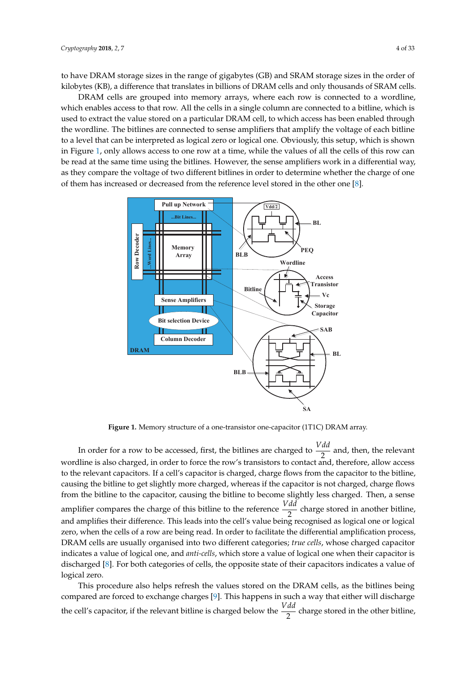to have DRAM storage sizes in the range of gigabytes (GB) and SRAM storage sizes in the order of kilobytes (KB), a difference that translates in billions of DRAM cells and only thousands of SRAM cells.

DRAM cells are grouped into memory arrays, where each row is connected to a wordline, which enables access to that row. All the cells in a single column are connected to a bitline, which is used to extract the value stored on a particular DRAM cell, to which access has been enabled through the wordline. The bitlines are connected to sense amplifiers that amplify the voltage of each bitline to a level that can be interpreted as logical zero or logical one. Obviously, this setup, which is shown in Figure [1,](#page-3-0) only allows access to one row at a time, while the values of all the cells of this row can be read at the same time using the bitlines. However, the sense amplifiers work in a differential way, as they compare the voltage of two different bitlines in order to determine whether the charge of one of them has increased or decreased from the reference level stored in the other one [\[8\]](#page-28-0).

<span id="page-3-0"></span>

**Figure 1.** Memory structure of a one-transistor one-capacitor (1T1C) DRAM array.

In order for a row to be accessed, first, the bitlines are charged to  $\frac{Vdd}{2}$  and, then, the relevant wordline is also charged, in order to force the row's transistors to contact and, therefore, allow access to the relevant capacitors. If a cell's capacitor is charged, charge flows from the capacitor to the bitline, causing the bitline to get slightly more charged, whereas if the capacitor is not charged, charge flows from the bitline to the capacitor, causing the bitline to become slightly less charged. Then, a sense amplifier compares the charge of this bitline to the reference  $\frac{Vdd}{2}$  charge stored in another bitline, and amplifies their difference. This leads into the cell's value being recognised as logical one or logical zero, when the cells of a row are being read. In order to facilitate the differential amplification process, DRAM cells are usually organised into two different categories; *true cells*, whose charged capacitor indicates a value of logical one, and *anti-cells*, which store a value of logical one when their capacitor is discharged [\[8\]](#page-28-0). For both categories of cells, the opposite state of their capacitors indicates a value of logical zero.

This procedure also helps refresh the values stored on the DRAM cells, as the bitlines being compared are forced to exchange charges [\[9\]](#page-28-1). This happens in such a way that either will discharge the cell's capacitor, if the relevant bitline is charged below the  $\frac{Vdd}{2}$  charge stored in the other bitline,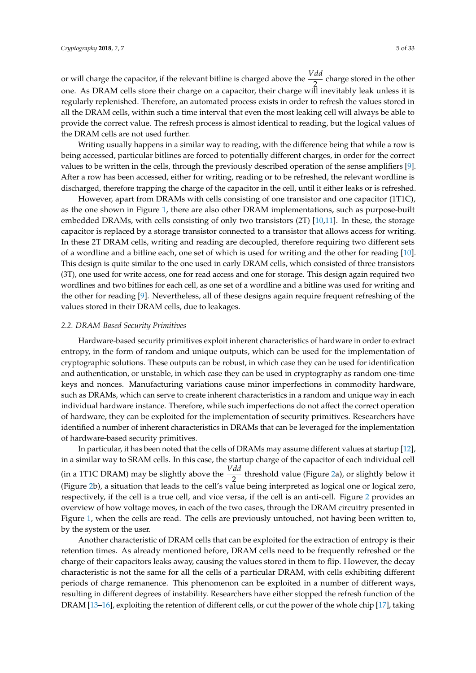or will charge the capacitor, if the relevant bitline is charged above the  $\frac{Vdd}{2}$  charge stored in the other one. As DRAM cells store their charge on a capacitor, their charge will inevitably leak unless it is regularly replenished. Therefore, an automated process exists in order to refresh the values stored in all the DRAM cells, within such a time interval that even the most leaking cell will always be able to provide the correct value. The refresh process is almost identical to reading, but the logical values of the DRAM cells are not used further.

Writing usually happens in a similar way to reading, with the difference being that while a row is being accessed, particular bitlines are forced to potentially different charges, in order for the correct values to be written in the cells, through the previously described operation of the sense amplifiers [\[9\]](#page-28-1). After a row has been accessed, either for writing, reading or to be refreshed, the relevant wordline is discharged, therefore trapping the charge of the capacitor in the cell, until it either leaks or is refreshed.

However, apart from DRAMs with cells consisting of one transistor and one capacitor (1T1C), as the one shown in Figure [1,](#page-3-0) there are also other DRAM implementations, such as purpose-built embedded DRAMs, with cells consisting of only two transistors (2T) [\[10](#page-28-2)[,11\]](#page-28-3). In these, the storage capacitor is replaced by a storage transistor connected to a transistor that allows access for writing. In these 2T DRAM cells, writing and reading are decoupled, therefore requiring two different sets of a wordline and a bitline each, one set of which is used for writing and the other for reading [\[10\]](#page-28-2). This design is quite similar to the one used in early DRAM cells, which consisted of three transistors (3T), one used for write access, one for read access and one for storage. This design again required two wordlines and two bitlines for each cell, as one set of a wordline and a bitline was used for writing and the other for reading [\[9\]](#page-28-1). Nevertheless, all of these designs again require frequent refreshing of the values stored in their DRAM cells, due to leakages.

#### *2.2. DRAM-Based Security Primitives*

Hardware-based security primitives exploit inherent characteristics of hardware in order to extract entropy, in the form of random and unique outputs, which can be used for the implementation of cryptographic solutions. These outputs can be robust, in which case they can be used for identification and authentication, or unstable, in which case they can be used in cryptography as random one-time keys and nonces. Manufacturing variations cause minor imperfections in commodity hardware, such as DRAMs, which can serve to create inherent characteristics in a random and unique way in each individual hardware instance. Therefore, while such imperfections do not affect the correct operation of hardware, they can be exploited for the implementation of security primitives. Researchers have identified a number of inherent characteristics in DRAMs that can be leveraged for the implementation of hardware-based security primitives.

In particular, it has been noted that the cells of DRAMs may assume different values at startup [\[12\]](#page-28-4), in a similar way to SRAM cells. In this case, the startup charge of the capacitor of each individual cell (in a 1T1C DRAM) may be slightly above the  $\frac{Vdd}{2}$  threshold value (Figure [2a](#page-5-0)), or slightly below it (Figure [2b](#page-5-0)), a situation that leads to the cell's value being interpreted as logical one or logical zero, respectively, if the cell is a true cell, and vice versa, if the cell is an anti-cell. Figure [2](#page-5-0) provides an overview of how voltage moves, in each of the two cases, through the DRAM circuitry presented in Figure [1,](#page-3-0) when the cells are read. The cells are previously untouched, not having been written to, by the system or the user.

Another characteristic of DRAM cells that can be exploited for the extraction of entropy is their retention times. As already mentioned before, DRAM cells need to be frequently refreshed or the charge of their capacitors leaks away, causing the values stored in them to flip. However, the decay characteristic is not the same for all the cells of a particular DRAM, with cells exhibiting different periods of charge remanence. This phenomenon can be exploited in a number of different ways, resulting in different degrees of instability. Researchers have either stopped the refresh function of the DRAM [\[13–](#page-28-5)[16\]](#page-28-6), exploiting the retention of different cells, or cut the power of the whole chip [\[17\]](#page-28-7), taking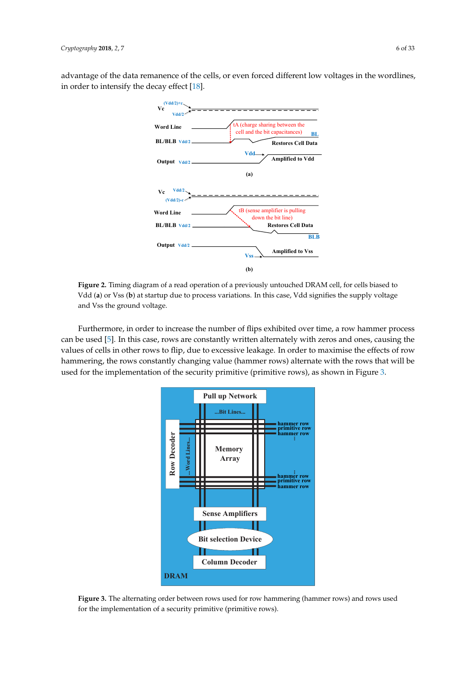<span id="page-5-0"></span>advantage of the data remanence of the cells, or even forced different low voltages in the wordlines, in order to intensify the decay effect [\[18\]](#page-28-8).



**Figure 2.** Timing diagram of a read operation of a previously untouched DRAM cell, for cells biased to Vdd (**a**) or Vss (**b**) at startup due to process variations. In this case, Vdd signifies the supply voltage and Vss the ground voltage.

<span id="page-5-1"></span>Furthermore, in order to increase the number of flips exhibited over time, a row hammer process can be used [\[5\]](#page-27-4). In this case, rows are constantly written alternately with zeros and ones, causing the values of cells in other rows to flip, due to excessive leakage. In order to maximise the effects of row hammering, the rows constantly changing value (hammer rows) alternate with the rows that will be used for the implementation of the security primitive (primitive rows), as shown in Figure [3.](#page-5-1)



**Figure 3.** The alternating order between rows used for row hammering (hammer rows) and rows used for the implementation of a security primitive (primitive rows).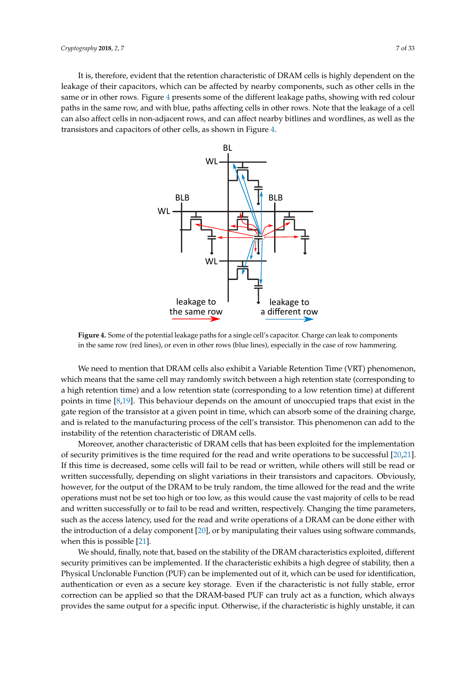<span id="page-6-0"></span>It is, therefore, evident that the retention characteristic of DRAM cells is highly dependent on the leakage of their capacitors, which can be affected by nearby components, such as other cells in the same or in other rows. Figure [4](#page-6-0) presents some of the different leakage paths, showing with red colour paths in the same row, and with blue, paths affecting cells in other rows. Note that the leakage of a cell can also affect cells in non-adjacent rows, and can affect nearby bitlines and wordlines, as well as the transistors and capacitors of other cells, as shown in Figure [4.](#page-6-0)



**Figure 4.** Some of the potential leakage paths for a single cell's capacitor. Charge can leak to components in the same row (red lines), or even in other rows (blue lines), especially in the case of row hammering.

We need to mention that DRAM cells also exhibit a Variable Retention Time (VRT) phenomenon, which means that the same cell may randomly switch between a high retention state (corresponding to a high retention time) and a low retention state (corresponding to a low retention time) at different points in time [\[8,](#page-28-0)[19\]](#page-28-9). This behaviour depends on the amount of unoccupied traps that exist in the gate region of the transistor at a given point in time, which can absorb some of the draining charge, and is related to the manufacturing process of the cell's transistor. This phenomenon can add to the instability of the retention characteristic of DRAM cells.

Moreover, another characteristic of DRAM cells that has been exploited for the implementation of security primitives is the time required for the read and write operations to be successful [\[20,](#page-28-10)[21\]](#page-28-11). If this time is decreased, some cells will fail to be read or written, while others will still be read or written successfully, depending on slight variations in their transistors and capacitors. Obviously, however, for the output of the DRAM to be truly random, the time allowed for the read and the write operations must not be set too high or too low, as this would cause the vast majority of cells to be read and written successfully or to fail to be read and written, respectively. Changing the time parameters, such as the access latency, used for the read and write operations of a DRAM can be done either with the introduction of a delay component [\[20\]](#page-28-10), or by manipulating their values using software commands, when this is possible [\[21\]](#page-28-11).

We should, finally, note that, based on the stability of the DRAM characteristics exploited, different security primitives can be implemented. If the characteristic exhibits a high degree of stability, then a Physical Unclonable Function (PUF) can be implemented out of it, which can be used for identification, authentication or even as a secure key storage. Even if the characteristic is not fully stable, error correction can be applied so that the DRAM-based PUF can truly act as a function, which always provides the same output for a specific input. Otherwise, if the characteristic is highly unstable, it can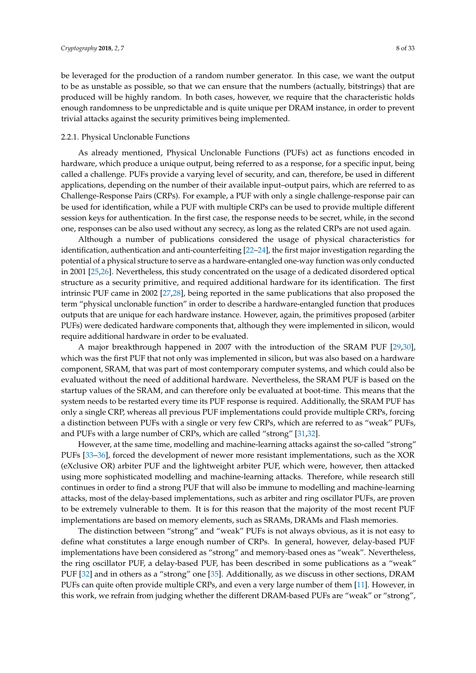be leveraged for the production of a random number generator. In this case, we want the output to be as unstable as possible, so that we can ensure that the numbers (actually, bitstrings) that are produced will be highly random. In both cases, however, we require that the characteristic holds enough randomness to be unpredictable and is quite unique per DRAM instance, in order to prevent trivial attacks against the security primitives being implemented.

#### 2.2.1. Physical Unclonable Functions

As already mentioned, Physical Unclonable Functions (PUFs) act as functions encoded in hardware, which produce a unique output, being referred to as a response, for a specific input, being called a challenge. PUFs provide a varying level of security, and can, therefore, be used in different applications, depending on the number of their available input–output pairs, which are referred to as Challenge-Response Pairs (CRPs). For example, a PUF with only a single challenge-response pair can be used for identification, while a PUF with multiple CRPs can be used to provide multiple different session keys for authentication. In the first case, the response needs to be secret, while, in the second one, responses can be also used without any secrecy, as long as the related CRPs are not used again.

Although a number of publications considered the usage of physical characteristics for identification, authentication and anti-counterfeiting [\[22–](#page-28-12)[24\]](#page-28-13), the first major investigation regarding the potential of a physical structure to serve as a hardware-entangled one-way function was only conducted in 2001 [\[25,](#page-28-14)[26\]](#page-28-15). Nevertheless, this study concentrated on the usage of a dedicated disordered optical structure as a security primitive, and required additional hardware for its identification. The first intrinsic PUF came in 2002 [\[27,](#page-29-0)[28\]](#page-29-1), being reported in the same publications that also proposed the term "physical unclonable function" in order to describe a hardware-entangled function that produces outputs that are unique for each hardware instance. However, again, the primitives proposed (arbiter PUFs) were dedicated hardware components that, although they were implemented in silicon, would require additional hardware in order to be evaluated.

A major breakthrough happened in 2007 with the introduction of the SRAM PUF [\[29,](#page-29-2)[30\]](#page-29-3), which was the first PUF that not only was implemented in silicon, but was also based on a hardware component, SRAM, that was part of most contemporary computer systems, and which could also be evaluated without the need of additional hardware. Nevertheless, the SRAM PUF is based on the startup values of the SRAM, and can therefore only be evaluated at boot-time. This means that the system needs to be restarted every time its PUF response is required. Additionally, the SRAM PUF has only a single CRP, whereas all previous PUF implementations could provide multiple CRPs, forcing a distinction between PUFs with a single or very few CRPs, which are referred to as "weak" PUFs, and PUFs with a large number of CRPs, which are called "strong" [\[31,](#page-29-4)[32\]](#page-29-5).

However, at the same time, modelling and machine-learning attacks against the so-called "strong" PUFs [\[33–](#page-29-6)[36\]](#page-29-7), forced the development of newer more resistant implementations, such as the XOR (eXclusive OR) arbiter PUF and the lightweight arbiter PUF, which were, however, then attacked using more sophisticated modelling and machine-learning attacks. Therefore, while research still continues in order to find a strong PUF that will also be immune to modelling and machine-learning attacks, most of the delay-based implementations, such as arbiter and ring oscillator PUFs, are proven to be extremely vulnerable to them. It is for this reason that the majority of the most recent PUF implementations are based on memory elements, such as SRAMs, DRAMs and Flash memories.

The distinction between "strong" and "weak" PUFs is not always obvious, as it is not easy to define what constitutes a large enough number of CRPs. In general, however, delay-based PUF implementations have been considered as "strong" and memory-based ones as "weak". Nevertheless, the ring oscillator PUF, a delay-based PUF, has been described in some publications as a "weak" PUF [\[32\]](#page-29-5) and in others as a "strong" one [\[35\]](#page-29-8). Additionally, as we discuss in other sections, DRAM PUFs can quite often provide multiple CRPs, and even a very large number of them [\[11\]](#page-28-3). However, in this work, we refrain from judging whether the different DRAM-based PUFs are "weak" or "strong",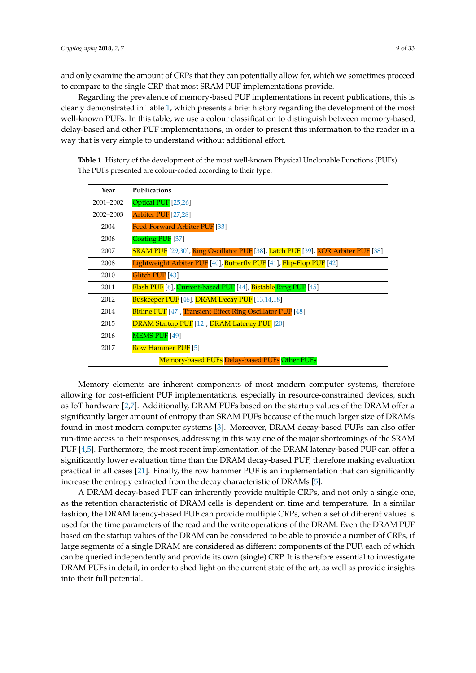and only examine the amount of CRPs that they can potentially allow for, which we sometimes proceed to compare to the single CRP that most SRAM PUF implementations provide.

Regarding the prevalence of memory-based PUF implementations in recent publications, this is clearly demonstrated in Table [1,](#page-8-0) which presents a brief history regarding the development of the most well-known PUFs. In this table, we use a colour classification to distinguish between memory-based, delay-based and other PUF implementations, in order to present this information to the reader in a way that is very simple to understand without additional effort.

<span id="page-8-0"></span>**Table 1.** History of the development of the most well-known Physical Unclonable Functions (PUFs). The PUFs presented are colour-coded according to their type.

| Year      | <b>Publications</b>                                                                     |
|-----------|-----------------------------------------------------------------------------------------|
| 2001-2002 | Optical PUF [25,26]                                                                     |
| 2002-2003 | Arbiter PUF [27,28]                                                                     |
| 2004      | <b>Feed-Forward Arbiter PUF</b> [33]                                                    |
| 2006      | Coating PUF [37]                                                                        |
| 2007      | <b>SRAM PUF</b> [29,30], Ring Oscillator PUF [38], Latch PUF [39], XOR Arbiter PUF [38] |
| 2008      | Lightweight Arbiter PUF [40], Butterfly PUF [41], Flip-Flop PUF [42]                    |
| 2010      | Glitch PUF [43]                                                                         |
| 2011      | Flash PUF [6], Current-based PUF [44], Bistable Ring PUF [45]                           |
| 2012      | <b>Buskeeper PUF</b> [46], <b>DRAM Decay PUF</b> [13,14,18]                             |
| 2014      | <b>Bitline PUF</b> [47], Transient Effect Ring Oscillator PUF [48]                      |
| 2015      | <b>DRAM Startup PUF</b> [12], <b>DRAM Latency PUF</b> [20]                              |
| 2016      | MEMS PUF [49]                                                                           |
| 2017      | <b>Row Hammer PUF</b> [5]                                                               |
|           | Memory-based PUFs Delay-based PUFs Other PUFs                                           |

Memory elements are inherent components of most modern computer systems, therefore allowing for cost-efficient PUF implementations, especially in resource-constrained devices, such as IoT hardware [\[2,](#page-27-1)[7\]](#page-27-3). Additionally, DRAM PUFs based on the startup values of the DRAM offer a significantly larger amount of entropy than SRAM PUFs because of the much larger size of DRAMs found in most modern computer systems [\[3\]](#page-27-5). Moreover, DRAM decay-based PUFs can also offer run-time access to their responses, addressing in this way one of the major shortcomings of the SRAM PUF [\[4,](#page-27-6)[5\]](#page-27-4). Furthermore, the most recent implementation of the DRAM latency-based PUF can offer a significantly lower evaluation time than the DRAM decay-based PUF, therefore making evaluation practical in all cases [\[21\]](#page-28-11). Finally, the row hammer PUF is an implementation that can significantly increase the entropy extracted from the decay characteristic of DRAMs [\[5\]](#page-27-4).

A DRAM decay-based PUF can inherently provide multiple CRPs, and not only a single one, as the retention characteristic of DRAM cells is dependent on time and temperature. In a similar fashion, the DRAM latency-based PUF can provide multiple CRPs, when a set of different values is used for the time parameters of the read and the write operations of the DRAM. Even the DRAM PUF based on the startup values of the DRAM can be considered to be able to provide a number of CRPs, if large segments of a single DRAM are considered as different components of the PUF, each of which can be queried independently and provide its own (single) CRP. It is therefore essential to investigate DRAM PUFs in detail, in order to shed light on the current state of the art, as well as provide insights into their full potential.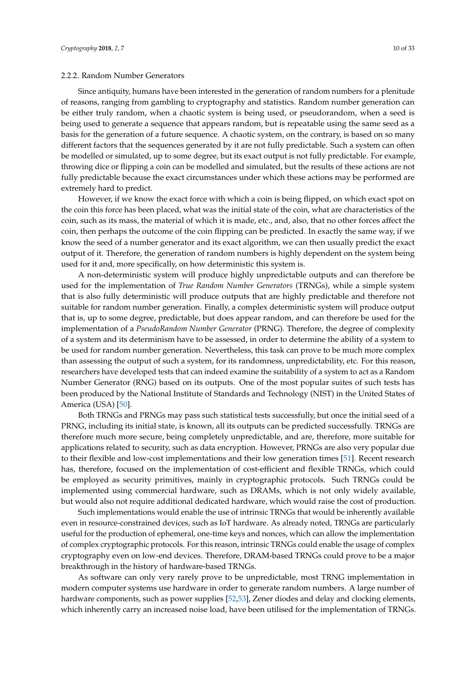Since antiquity, humans have been interested in the generation of random numbers for a plenitude of reasons, ranging from gambling to cryptography and statistics. Random number generation can be either truly random, when a chaotic system is being used, or pseudorandom, when a seed is being used to generate a sequence that appears random, but is repeatable using the same seed as a basis for the generation of a future sequence. A chaotic system, on the contrary, is based on so many different factors that the sequences generated by it are not fully predictable. Such a system can often be modelled or simulated, up to some degree, but its exact output is not fully predictable. For example, throwing dice or flipping a coin can be modelled and simulated, but the results of these actions are not fully predictable because the exact circumstances under which these actions may be performed are extremely hard to predict.

However, if we know the exact force with which a coin is being flipped, on which exact spot on the coin this force has been placed, what was the initial state of the coin, what are characteristics of the coin, such as its mass, the material of which it is made, etc., and, also, that no other forces affect the coin, then perhaps the outcome of the coin flipping can be predicted. In exactly the same way, if we know the seed of a number generator and its exact algorithm, we can then usually predict the exact output of it. Therefore, the generation of random numbers is highly dependent on the system being used for it and, more specifically, on how deterministic this system is.

A non-deterministic system will produce highly unpredictable outputs and can therefore be used for the implementation of *True Random Number Generators* (TRNGs), while a simple system that is also fully deterministic will produce outputs that are highly predictable and therefore not suitable for random number generation. Finally, a complex deterministic system will produce output that is, up to some degree, predictable, but does appear random, and can therefore be used for the implementation of a *PseudoRandom Number Generator* (PRNG). Therefore, the degree of complexity of a system and its determinism have to be assessed, in order to determine the ability of a system to be used for random number generation. Nevertheless, this task can prove to be much more complex than assessing the output of such a system, for its randomness, unpredictability, etc. For this reason, researchers have developed tests that can indeed examine the suitability of a system to act as a Random Number Generator (RNG) based on its outputs. One of the most popular suites of such tests has been produced by the National Institute of Standards and Technology (NIST) in the United States of America (USA) [\[50\]](#page-30-4).

Both TRNGs and PRNGs may pass such statistical tests successfully, but once the initial seed of a PRNG, including its initial state, is known, all its outputs can be predicted successfully. TRNGs are therefore much more secure, being completely unpredictable, and are, therefore, more suitable for applications related to security, such as data encryption. However, PRNGs are also very popular due to their flexible and low-cost implementations and their low generation times [\[51\]](#page-30-5). Recent research has, therefore, focused on the implementation of cost-efficient and flexible TRNGs, which could be employed as security primitives, mainly in cryptographic protocols. Such TRNGs could be implemented using commercial hardware, such as DRAMs, which is not only widely available, but would also not require additional dedicated hardware, which would raise the cost of production.

Such implementations would enable the use of intrinsic TRNGs that would be inherently available even in resource-constrained devices, such as IoT hardware. As already noted, TRNGs are particularly useful for the production of ephemeral, one-time keys and nonces, which can allow the implementation of complex cryptographic protocols. For this reason, intrinsic TRNGs could enable the usage of complex cryptography even on low-end devices. Therefore, DRAM-based TRNGs could prove to be a major breakthrough in the history of hardware-based TRNGs.

As software can only very rarely prove to be unpredictable, most TRNG implementation in modern computer systems use hardware in order to generate random numbers. A large number of hardware components, such as power supplies [\[52](#page-30-6)[,53\]](#page-30-7), Zener diodes and delay and clocking elements, which inherently carry an increased noise load, have been utilised for the implementation of TRNGs.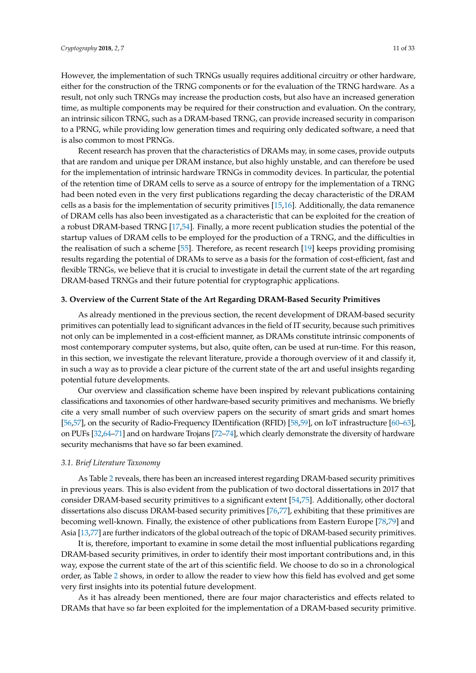However, the implementation of such TRNGs usually requires additional circuitry or other hardware, either for the construction of the TRNG components or for the evaluation of the TRNG hardware. As a result, not only such TRNGs may increase the production costs, but also have an increased generation time, as multiple components may be required for their construction and evaluation. On the contrary, an intrinsic silicon TRNG, such as a DRAM-based TRNG, can provide increased security in comparison to a PRNG, while providing low generation times and requiring only dedicated software, a need that is also common to most PRNGs.

Recent research has proven that the characteristics of DRAMs may, in some cases, provide outputs that are random and unique per DRAM instance, but also highly unstable, and can therefore be used for the implementation of intrinsic hardware TRNGs in commodity devices. In particular, the potential of the retention time of DRAM cells to serve as a source of entropy for the implementation of a TRNG had been noted even in the very first publications regarding the decay characteristic of the DRAM cells as a basis for the implementation of security primitives [\[15](#page-28-17)[,16\]](#page-28-6). Additionally, the data remanence of DRAM cells has also been investigated as a characteristic that can be exploited for the creation of a robust DRAM-based TRNG [\[17](#page-28-7)[,54\]](#page-30-8). Finally, a more recent publication studies the potential of the startup values of DRAM cells to be employed for the production of a TRNG, and the difficulties in the realisation of such a scheme [\[55\]](#page-30-9). Therefore, as recent research [\[19\]](#page-28-9) keeps providing promising results regarding the potential of DRAMs to serve as a basis for the formation of cost-efficient, fast and flexible TRNGs, we believe that it is crucial to investigate in detail the current state of the art regarding DRAM-based TRNGs and their future potential for cryptographic applications.

## <span id="page-10-0"></span>**3. Overview of the Current State of the Art Regarding DRAM-Based Security Primitives**

As already mentioned in the previous section, the recent development of DRAM-based security primitives can potentially lead to significant advances in the field of IT security, because such primitives not only can be implemented in a cost-efficient manner, as DRAMs constitute intrinsic components of most contemporary computer systems, but also, quite often, can be used at run-time. For this reason, in this section, we investigate the relevant literature, provide a thorough overview of it and classify it, in such a way as to provide a clear picture of the current state of the art and useful insights regarding potential future developments.

Our overview and classification scheme have been inspired by relevant publications containing classifications and taxonomies of other hardware-based security primitives and mechanisms. We briefly cite a very small number of such overview papers on the security of smart grids and smart homes [\[56,](#page-30-10)[57\]](#page-30-11), on the security of Radio-Frequency IDentification (RFID) [\[58,](#page-30-12)[59\]](#page-30-13), on IoT infrastructure [\[60–](#page-30-14)[63\]](#page-30-15), on PUFs [\[32](#page-29-5)[,64–](#page-30-16)[71\]](#page-31-0) and on hardware Trojans [\[72–](#page-31-1)[74\]](#page-31-2), which clearly demonstrate the diversity of hardware security mechanisms that have so far been examined.

## *3.1. Brief Literature Taxonomy*

As Table [2](#page-11-0) reveals, there has been an increased interest regarding DRAM-based security primitives in previous years. This is also evident from the publication of two doctoral dissertations in 2017 that consider DRAM-based security primitives to a significant extent [\[54,](#page-30-8)[75\]](#page-31-3). Additionally, other doctoral dissertations also discuss DRAM-based security primitives [\[76,](#page-31-4)[77\]](#page-31-5), exhibiting that these primitives are becoming well-known. Finally, the existence of other publications from Eastern Europe [\[78,](#page-31-6)[79\]](#page-31-7) and Asia [\[13](#page-28-5)[,77\]](#page-31-5) are further indicators of the global outreach of the topic of DRAM-based security primitives.

It is, therefore, important to examine in some detail the most influential publications regarding DRAM-based security primitives, in order to identify their most important contributions and, in this way, expose the current state of the art of this scientific field. We choose to do so in a chronological order, as Table [2](#page-11-0) shows, in order to allow the reader to view how this field has evolved and get some very first insights into its potential future development.

As it has already been mentioned, there are four major characteristics and effects related to DRAMs that have so far been exploited for the implementation of a DRAM-based security primitive.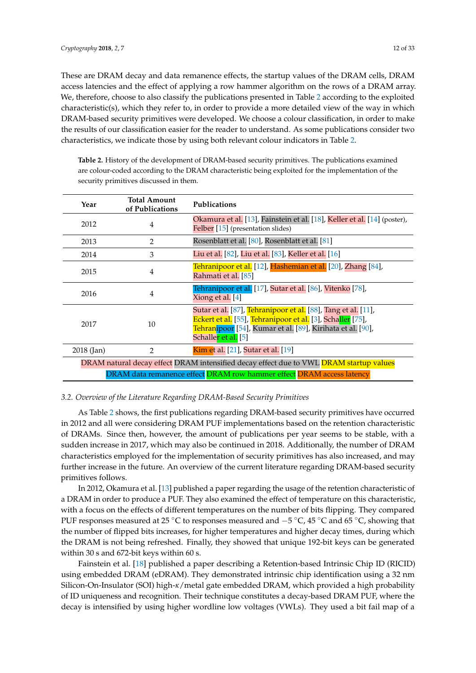These are DRAM decay and data remanence effects, the startup values of the DRAM cells, DRAM access latencies and the effect of applying a row hammer algorithm on the rows of a DRAM array. We, therefore, choose to also classify the publications presented in Table [2](#page-11-0) according to the exploited characteristic(s), which they refer to, in order to provide a more detailed view of the way in which DRAM-based security primitives were developed. We choose a colour classification, in order to make the results of our classification easier for the reader to understand. As some publications consider two characteristics, we indicate those by using both relevant colour indicators in Table [2.](#page-11-0)

<span id="page-11-0"></span>**Table 2.** History of the development of DRAM-based security primitives. The publications examined are colour-coded according to the DRAM characteristic being exploited for the implementation of the security primitives discussed in them.

| Year       | <b>Total Amount</b><br>of Publications | <b>Publications</b>                                                                                                                                                                                              |
|------------|----------------------------------------|------------------------------------------------------------------------------------------------------------------------------------------------------------------------------------------------------------------|
| 2012       | 4                                      | Okamura et al. [13], Fainstein et al. [18], Keller et al. [14] (poster),<br>Felber [15] (presentation slides)                                                                                                    |
| 2013       | 2                                      | Rosenblatt et al. [80], Rosenblatt et al. [81]                                                                                                                                                                   |
| 2014       | 3                                      | Liu et al. [82], Liu et al. [83], Keller et al. [16]                                                                                                                                                             |
| 2015       | 4                                      | Tehranipoor et al. [12], Hashemian et al. [20], Zhang [84],<br>Rahmati et al. [85]                                                                                                                               |
| 2016       | 4                                      | Tehranipoor et al. [17], Sutar et al. [86], Vitenko [78],<br>Xiong et al. [4]                                                                                                                                    |
| 2017       | 10                                     | Sutar et al. [87], Tehranipoor et al. [88], Tang et al. [11],<br>Eckert et al. [55], Tehranipoor et al. [3], Schaller [75],<br>Tehranipoor [54], Kumar et al. [89], Kirihata et al. [90],<br>Schaller et al. [5] |
| 2018 (Jan) | $\mathcal{P}$                          | <b>Kim et al.</b> [21], Sutar et al. [19]                                                                                                                                                                        |
|            |                                        | DRAM natural decay effect DRAM intensified decay effect due to VWL DRAM startup values                                                                                                                           |
|            |                                        | DRAM data remanence effect DRAM row hammer effect DRAM access latency                                                                                                                                            |

## *3.2. Overview of the Literature Regarding DRAM-Based Security Primitives*

As Table [2](#page-11-0) shows, the first publications regarding DRAM-based security primitives have occurred in 2012 and all were considering DRAM PUF implementations based on the retention characteristic of DRAMs. Since then, however, the amount of publications per year seems to be stable, with a sudden increase in 2017, which may also be continued in 2018. Additionally, the number of DRAM characteristics employed for the implementation of security primitives has also increased, and may further increase in the future. An overview of the current literature regarding DRAM-based security primitives follows.

In 2012, Okamura et al. [\[13\]](#page-28-5) published a paper regarding the usage of the retention characteristic of a DRAM in order to produce a PUF. They also examined the effect of temperature on this characteristic, with a focus on the effects of different temperatures on the number of bits flipping. They compared PUF responses measured at 25 °C to responses measured and  $-5$  °C, 45 °C and 65 °C, showing that the number of flipped bits increases, for higher temperatures and higher decay times, during which the DRAM is not being refreshed. Finally, they showed that unique 192-bit keys can be generated within 30 s and 672-bit keys within 60 s.

Fainstein et al. [\[18\]](#page-28-8) published a paper describing a Retention-based Intrinsic Chip ID (RICID) using embedded DRAM (eDRAM). They demonstrated intrinsic chip identification using a 32 nm Silicon-On-Insulator (SOI) high-*κ*/metal gate embedded DRAM, which provided a high probability of ID uniqueness and recognition. Their technique constitutes a decay-based DRAM PUF, where the decay is intensified by using higher wordline low voltages (VWLs). They used a bit fail map of a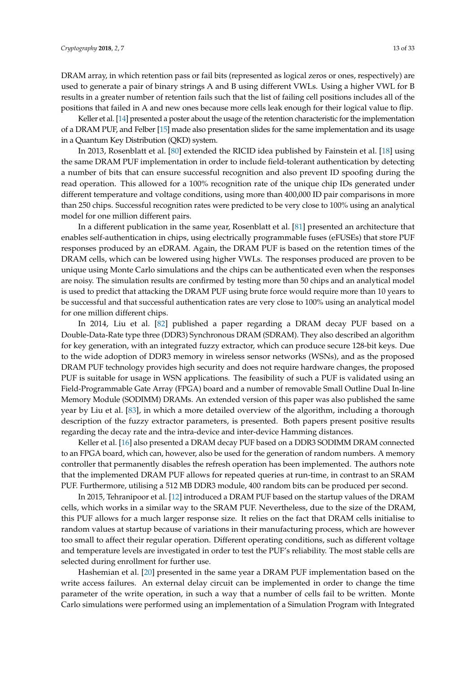DRAM array, in which retention pass or fail bits (represented as logical zeros or ones, respectively) are used to generate a pair of binary strings A and B using different VWLs. Using a higher VWL for B results in a greater number of retention fails such that the list of failing cell positions includes all of the positions that failed in A and new ones because more cells leak enough for their logical value to flip.

Keller et al. [\[14\]](#page-28-16) presented a poster about the usage of the retention characteristic for the implementation of a DRAM PUF, and Felber [\[15\]](#page-28-17) made also presentation slides for the same implementation and its usage in a Quantum Key Distribution (QKD) system.

In 2013, Rosenblatt et al. [\[80\]](#page-31-8) extended the RICID idea published by Fainstein et al. [\[18\]](#page-28-8) using the same DRAM PUF implementation in order to include field-tolerant authentication by detecting a number of bits that can ensure successful recognition and also prevent ID spoofing during the read operation. This allowed for a 100% recognition rate of the unique chip IDs generated under different temperature and voltage conditions, using more than 400,000 ID pair comparisons in more than 250 chips. Successful recognition rates were predicted to be very close to 100% using an analytical model for one million different pairs.

In a different publication in the same year, Rosenblatt et al. [\[81\]](#page-31-9) presented an architecture that enables self-authentication in chips, using electrically programmable fuses (eFUSEs) that store PUF responses produced by an eDRAM. Again, the DRAM PUF is based on the retention times of the DRAM cells, which can be lowered using higher VWLs. The responses produced are proven to be unique using Monte Carlo simulations and the chips can be authenticated even when the responses are noisy. The simulation results are confirmed by testing more than 50 chips and an analytical model is used to predict that attacking the DRAM PUF using brute force would require more than 10 years to be successful and that successful authentication rates are very close to 100% using an analytical model for one million different chips.

In 2014, Liu et al. [\[82\]](#page-31-10) published a paper regarding a DRAM decay PUF based on a Double-Data-Rate type three (DDR3) Synchronous DRAM (SDRAM). They also described an algorithm for key generation, with an integrated fuzzy extractor, which can produce secure 128-bit keys. Due to the wide adoption of DDR3 memory in wireless sensor networks (WSNs), and as the proposed DRAM PUF technology provides high security and does not require hardware changes, the proposed PUF is suitable for usage in WSN applications. The feasibility of such a PUF is validated using an Field-Programmable Gate Array (FPGA) board and a number of removable Small Outline Dual In-line Memory Module (SODIMM) DRAMs. An extended version of this paper was also published the same year by Liu et al. [\[83\]](#page-31-11), in which a more detailed overview of the algorithm, including a thorough description of the fuzzy extractor parameters, is presented. Both papers present positive results regarding the decay rate and the intra-device and inter-device Hamming distances.

Keller et al. [\[16\]](#page-28-6) also presented a DRAM decay PUF based on a DDR3 SODIMM DRAM connected to an FPGA board, which can, however, also be used for the generation of random numbers. A memory controller that permanently disables the refresh operation has been implemented. The authors note that the implemented DRAM PUF allows for repeated queries at run-time, in contrast to an SRAM PUF. Furthermore, utilising a 512 MB DDR3 module, 400 random bits can be produced per second.

In 2015, Tehranipoor et al. [\[12\]](#page-28-4) introduced a DRAM PUF based on the startup values of the DRAM cells, which works in a similar way to the SRAM PUF. Nevertheless, due to the size of the DRAM, this PUF allows for a much larger response size. It relies on the fact that DRAM cells initialise to random values at startup because of variations in their manufacturing process, which are however too small to affect their regular operation. Different operating conditions, such as different voltage and temperature levels are investigated in order to test the PUF's reliability. The most stable cells are selected during enrollment for further use.

Hashemian et al. [\[20\]](#page-28-10) presented in the same year a DRAM PUF implementation based on the write access failures. An external delay circuit can be implemented in order to change the time parameter of the write operation, in such a way that a number of cells fail to be written. Monte Carlo simulations were performed using an implementation of a Simulation Program with Integrated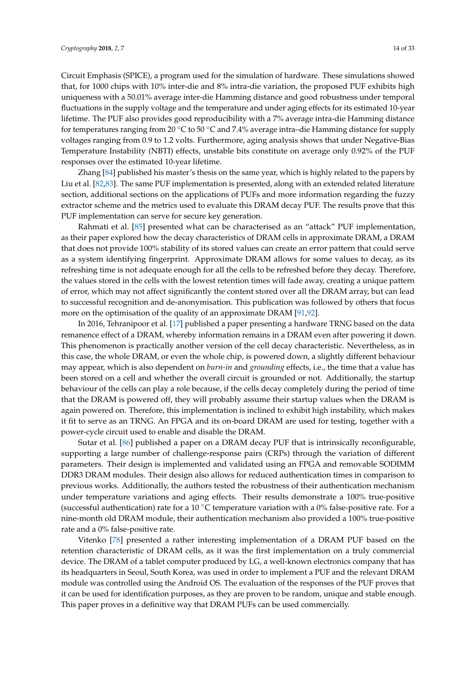Circuit Emphasis (SPICE), a program used for the simulation of hardware. These simulations showed that, for 1000 chips with 10% inter-die and 8% intra-die variation, the proposed PUF exhibits high uniqueness with a 50.01% average inter-die Hamming distance and good robustness under temporal fluctuations in the supply voltage and the temperature and under aging effects for its estimated 10-year lifetime. The PUF also provides good reproducibility with a 7% average intra-die Hamming distance for temperatures ranging from 20 ◦C to 50 ◦C and 7.4% average intra–die Hamming distance for supply voltages ranging from 0.9 to 1.2 volts. Furthermore, aging analysis shows that under Negative-Bias Temperature Instability (NBTI) effects, unstable bits constitute on average only 0.92% of the PUF responses over the estimated 10-year lifetime.

Zhang [\[84\]](#page-31-12) published his master's thesis on the same year, which is highly related to the papers by Liu et al. [\[82](#page-31-10)[,83\]](#page-31-11). The same PUF implementation is presented, along with an extended related literature section, additional sections on the applications of PUFs and more information regarding the fuzzy extractor scheme and the metrics used to evaluate this DRAM decay PUF. The results prove that this PUF implementation can serve for secure key generation.

Rahmati et al. [\[85\]](#page-31-13) presented what can be characterised as an "attack" PUF implementation, as their paper explored how the decay characteristics of DRAM cells in approximate DRAM, a DRAM that does not provide 100% stability of its stored values can create an error pattern that could serve as a system identifying fingerprint. Approximate DRAM allows for some values to decay, as its refreshing time is not adequate enough for all the cells to be refreshed before they decay. Therefore, the values stored in the cells with the lowest retention times will fade away, creating a unique pattern of error, which may not affect significantly the content stored over all the DRAM array, but can lead to successful recognition and de-anonymisation. This publication was followed by others that focus more on the optimisation of the quality of an approximate DRAM [\[91,](#page-32-3)[92\]](#page-32-4).

In 2016, Tehranipoor et al. [\[17\]](#page-28-7) published a paper presenting a hardware TRNG based on the data remanence effect of a DRAM, whereby information remains in a DRAM even after powering it down. This phenomenon is practically another version of the cell decay characteristic. Nevertheless, as in this case, the whole DRAM, or even the whole chip, is powered down, a slightly different behaviour may appear, which is also dependent on *burn-in* and *grounding* effects, i.e., the time that a value has been stored on a cell and whether the overall circuit is grounded or not. Additionally, the startup behaviour of the cells can play a role because, if the cells decay completely during the period of time that the DRAM is powered off, they will probably assume their startup values when the DRAM is again powered on. Therefore, this implementation is inclined to exhibit high instability, which makes it fit to serve as an TRNG. An FPGA and its on-board DRAM are used for testing, together with a power-cycle circuit used to enable and disable the DRAM.

Sutar et al. [\[86\]](#page-31-14) published a paper on a DRAM decay PUF that is intrinsically reconfigurable, supporting a large number of challenge-response pairs (CRPs) through the variation of different parameters. Their design is implemented and validated using an FPGA and removable SODIMM DDR3 DRAM modules. Their design also allows for reduced authentication times in comparison to previous works. Additionally, the authors tested the robustness of their authentication mechanism under temperature variations and aging effects. Their results demonstrate a 100% true-positive (successful authentication) rate for a 10  $^{\circ}$ C temperature variation with a 0% false-positive rate. For a nine-month old DRAM module, their authentication mechanism also provided a 100% true-positive rate and a 0% false-positive rate.

Vitenko [\[78\]](#page-31-6) presented a rather interesting implementation of a DRAM PUF based on the retention characteristic of DRAM cells, as it was the first implementation on a truly commercial device. The DRAM of a tablet computer produced by LG, a well-known electronics company that has its headquarters in Seoul, South Korea, was used in order to implement a PUF and the relevant DRAM module was controlled using the Android OS. The evaluation of the responses of the PUF proves that it can be used for identification purposes, as they are proven to be random, unique and stable enough. This paper proves in a definitive way that DRAM PUFs can be used commercially.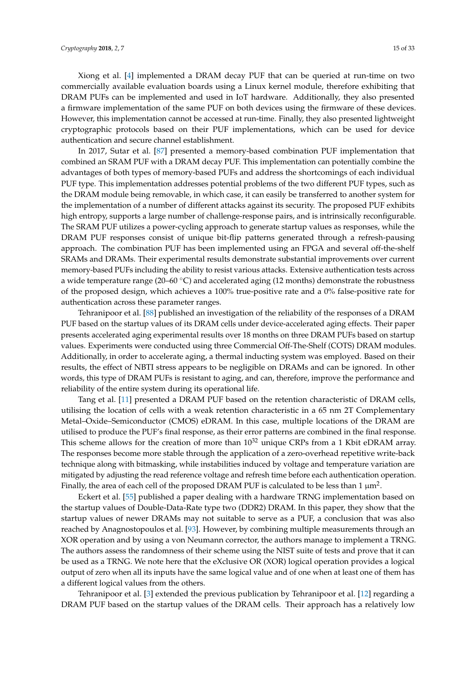Xiong et al. [\[4\]](#page-27-6) implemented a DRAM decay PUF that can be queried at run-time on two commercially available evaluation boards using a Linux kernel module, therefore exhibiting that DRAM PUFs can be implemented and used in IoT hardware. Additionally, they also presented a firmware implementation of the same PUF on both devices using the firmware of these devices. However, this implementation cannot be accessed at run-time. Finally, they also presented lightweight cryptographic protocols based on their PUF implementations, which can be used for device authentication and secure channel establishment.

In 2017, Sutar et al. [\[87\]](#page-31-15) presented a memory-based combination PUF implementation that combined an SRAM PUF with a DRAM decay PUF. This implementation can potentially combine the advantages of both types of memory-based PUFs and address the shortcomings of each individual PUF type. This implementation addresses potential problems of the two different PUF types, such as the DRAM module being removable, in which case, it can easily be transferred to another system for the implementation of a number of different attacks against its security. The proposed PUF exhibits high entropy, supports a large number of challenge-response pairs, and is intrinsically reconfigurable. The SRAM PUF utilizes a power-cycling approach to generate startup values as responses, while the DRAM PUF responses consist of unique bit-flip patterns generated through a refresh-pausing approach. The combination PUF has been implemented using an FPGA and several off-the-shelf SRAMs and DRAMs. Their experimental results demonstrate substantial improvements over current memory-based PUFs including the ability to resist various attacks. Extensive authentication tests across a wide temperature range (20–60 °C) and accelerated aging (12 months) demonstrate the robustness of the proposed design, which achieves a 100% true-positive rate and a 0% false-positive rate for authentication across these parameter ranges.

Tehranipoor et al. [\[88\]](#page-32-0) published an investigation of the reliability of the responses of a DRAM PUF based on the startup values of its DRAM cells under device-accelerated aging effects. Their paper presents accelerated aging experimental results over 18 months on three DRAM PUFs based on startup values. Experiments were conducted using three Commercial Off-The-Shelf (COTS) DRAM modules. Additionally, in order to accelerate aging, a thermal inducting system was employed. Based on their results, the effect of NBTI stress appears to be negligible on DRAMs and can be ignored. In other words, this type of DRAM PUFs is resistant to aging, and can, therefore, improve the performance and reliability of the entire system during its operational life.

Tang et al. [\[11\]](#page-28-3) presented a DRAM PUF based on the retention characteristic of DRAM cells, utilising the location of cells with a weak retention characteristic in a 65 nm 2T Complementary Metal–Oxide–Semiconductor (CMOS) eDRAM. In this case, multiple locations of the DRAM are utilised to produce the PUF's final response, as their error patterns are combined in the final response. This scheme allows for the creation of more than  $10^{32}$  unique CRPs from a 1 Kbit eDRAM array. The responses become more stable through the application of a zero-overhead repetitive write-back technique along with bitmasking, while instabilities induced by voltage and temperature variation are mitigated by adjusting the read reference voltage and refresh time before each authentication operation. Finally, the area of each cell of the proposed DRAM PUF is calculated to be less than 1  $\mu$ m<sup>2</sup>.

Eckert et al. [\[55\]](#page-30-9) published a paper dealing with a hardware TRNG implementation based on the startup values of Double-Data-Rate type two (DDR2) DRAM. In this paper, they show that the startup values of newer DRAMs may not suitable to serve as a PUF, a conclusion that was also reached by Anagnostopoulos et al. [\[93\]](#page-32-5). However, by combining multiple measurements through an XOR operation and by using a von Neumann corrector, the authors manage to implement a TRNG. The authors assess the randomness of their scheme using the NIST suite of tests and prove that it can be used as a TRNG. We note here that the eXclusive OR (XOR) logical operation provides a logical output of zero when all its inputs have the same logical value and of one when at least one of them has a different logical values from the others.

Tehranipoor et al. [\[3\]](#page-27-5) extended the previous publication by Tehranipoor et al. [\[12\]](#page-28-4) regarding a DRAM PUF based on the startup values of the DRAM cells. Their approach has a relatively low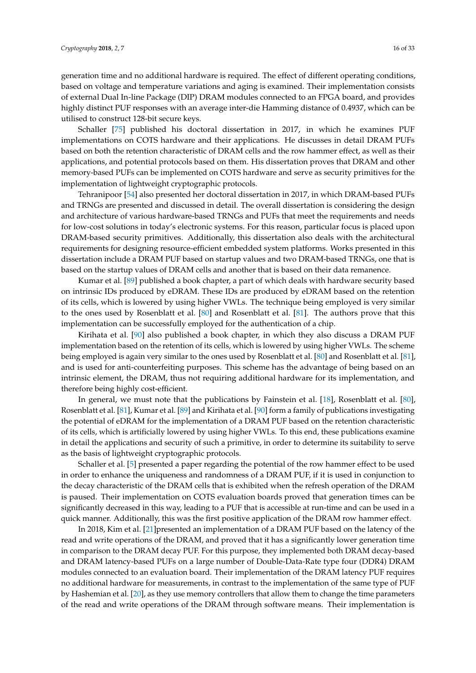generation time and no additional hardware is required. The effect of different operating conditions, based on voltage and temperature variations and aging is examined. Their implementation consists of external Dual In-line Package (DIP) DRAM modules connected to an FPGA board, and provides highly distinct PUF responses with an average inter-die Hamming distance of 0.4937, which can be utilised to construct 128-bit secure keys.

Schaller [\[75\]](#page-31-3) published his doctoral dissertation in 2017, in which he examines PUF implementations on COTS hardware and their applications. He discusses in detail DRAM PUFs based on both the retention characteristic of DRAM cells and the row hammer effect, as well as their applications, and potential protocols based on them. His dissertation proves that DRAM and other memory-based PUFs can be implemented on COTS hardware and serve as security primitives for the implementation of lightweight cryptographic protocols.

Tehranipoor [\[54\]](#page-30-8) also presented her doctoral dissertation in 2017, in which DRAM-based PUFs and TRNGs are presented and discussed in detail. The overall dissertation is considering the design and architecture of various hardware-based TRNGs and PUFs that meet the requirements and needs for low-cost solutions in today's electronic systems. For this reason, particular focus is placed upon DRAM-based security primitives. Additionally, this dissertation also deals with the architectural requirements for designing resource-efficient embedded system platforms. Works presented in this dissertation include a DRAM PUF based on startup values and two DRAM-based TRNGs, one that is based on the startup values of DRAM cells and another that is based on their data remanence.

Kumar et al. [\[89\]](#page-32-1) published a book chapter, a part of which deals with hardware security based on intrinsic IDs produced by eDRAM. These IDs are produced by eDRAM based on the retention of its cells, which is lowered by using higher VWLs. The technique being employed is very similar to the ones used by Rosenblatt et al. [\[80\]](#page-31-8) and Rosenblatt et al. [\[81\]](#page-31-9). The authors prove that this implementation can be successfully employed for the authentication of a chip.

Kirihata et al. [\[90\]](#page-32-2) also published a book chapter, in which they also discuss a DRAM PUF implementation based on the retention of its cells, which is lowered by using higher VWLs. The scheme being employed is again very similar to the ones used by Rosenblatt et al. [\[80\]](#page-31-8) and Rosenblatt et al. [\[81\]](#page-31-9), and is used for anti-counterfeiting purposes. This scheme has the advantage of being based on an intrinsic element, the DRAM, thus not requiring additional hardware for its implementation, and therefore being highly cost-efficient.

In general, we must note that the publications by Fainstein et al. [\[18\]](#page-28-8), Rosenblatt et al. [\[80\]](#page-31-8), Rosenblatt et al. [\[81\]](#page-31-9), Kumar et al. [\[89\]](#page-32-1) and Kirihata et al. [\[90\]](#page-32-2) form a family of publications investigating the potential of eDRAM for the implementation of a DRAM PUF based on the retention characteristic of its cells, which is artificially lowered by using higher VWLs. To this end, these publications examine in detail the applications and security of such a primitive, in order to determine its suitability to serve as the basis of lightweight cryptographic protocols.

Schaller et al. [\[5\]](#page-27-4) presented a paper regarding the potential of the row hammer effect to be used in order to enhance the uniqueness and randomness of a DRAM PUF, if it is used in conjunction to the decay characteristic of the DRAM cells that is exhibited when the refresh operation of the DRAM is paused. Their implementation on COTS evaluation boards proved that generation times can be significantly decreased in this way, leading to a PUF that is accessible at run-time and can be used in a quick manner. Additionally, this was the first positive application of the DRAM row hammer effect.

In 2018, Kim et al. [\[21\]](#page-28-11)presented an implementation of a DRAM PUF based on the latency of the read and write operations of the DRAM, and proved that it has a significantly lower generation time in comparison to the DRAM decay PUF. For this purpose, they implemented both DRAM decay-based and DRAM latency-based PUFs on a large number of Double-Data-Rate type four (DDR4) DRAM modules connected to an evaluation board. Their implementation of the DRAM latency PUF requires no additional hardware for measurements, in contrast to the implementation of the same type of PUF by Hashemian et al. [\[20\]](#page-28-10), as they use memory controllers that allow them to change the time parameters of the read and write operations of the DRAM through software means. Their implementation is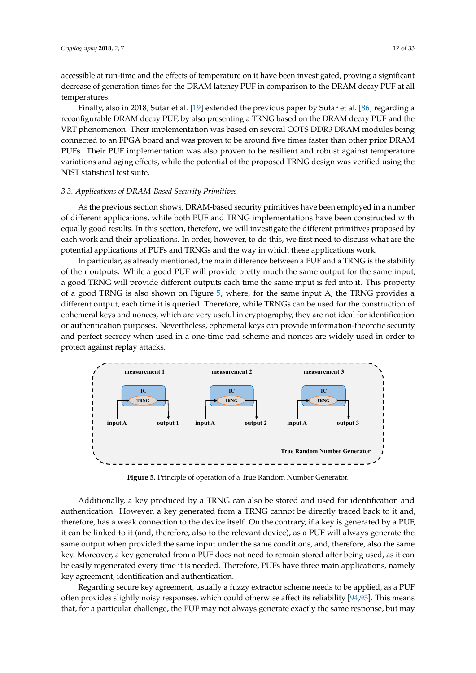accessible at run-time and the effects of temperature on it have been investigated, proving a significant decrease of generation times for the DRAM latency PUF in comparison to the DRAM decay PUF at all temperatures.

Finally, also in 2018, Sutar et al. [\[19\]](#page-28-9) extended the previous paper by Sutar et al. [\[86\]](#page-31-14) regarding a reconfigurable DRAM decay PUF, by also presenting a TRNG based on the DRAM decay PUF and the VRT phenomenon. Their implementation was based on several COTS DDR3 DRAM modules being connected to an FPGA board and was proven to be around five times faster than other prior DRAM PUFs. Their PUF implementation was also proven to be resilient and robust against temperature variations and aging effects, while the potential of the proposed TRNG design was verified using the NIST statistical test suite.

## <span id="page-16-0"></span>*3.3. Applications of DRAM-Based Security Primitives*

As the previous section shows, DRAM-based security primitives have been employed in a number of different applications, while both PUF and TRNG implementations have been constructed with equally good results. In this section, therefore, we will investigate the different primitives proposed by each work and their applications. In order, however, to do this, we first need to discuss what are the potential applications of PUFs and TRNGs and the way in which these applications work.

In particular, as already mentioned, the main difference between a PUF and a TRNG is the stability of their outputs. While a good PUF will provide pretty much the same output for the same input, a good TRNG will provide different outputs each time the same input is fed into it. This property of a good TRNG is also shown on Figure [5,](#page-16-1) where, for the same input A, the TRNG provides a different output, each time it is queried. Therefore, while TRNGs can be used for the construction of ephemeral keys and nonces, which are very useful in cryptography, they are not ideal for identification or authentication purposes. Nevertheless, ephemeral keys can provide information-theoretic security and perfect secrecy when used in a one-time pad scheme and nonces are widely used in order to protect against replay attacks.

<span id="page-16-1"></span>

**Figure 5.** Principle of operation of a True Random Number Generator.

Additionally, a key produced by a TRNG can also be stored and used for identification and authentication. However, a key generated from a TRNG cannot be directly traced back to it and, therefore, has a weak connection to the device itself. On the contrary, if a key is generated by a PUF, it can be linked to it (and, therefore, also to the relevant device), as a PUF will always generate the same output when provided the same input under the same conditions, and, therefore, also the same key. Moreover, a key generated from a PUF does not need to remain stored after being used, as it can be easily regenerated every time it is needed. Therefore, PUFs have three main applications, namely key agreement, identification and authentication.

Regarding secure key agreement, usually a fuzzy extractor scheme needs to be applied, as a PUF often provides slightly noisy responses, which could otherwise affect its reliability [\[94,](#page-32-6)[95\]](#page-32-7). This means that, for a particular challenge, the PUF may not always generate exactly the same response, but may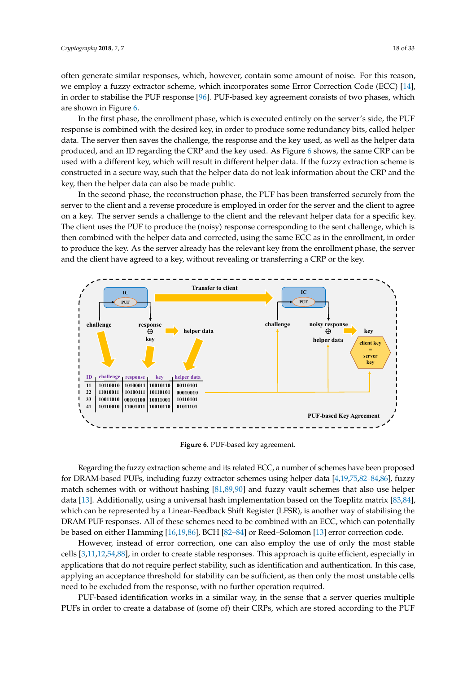often generate similar responses, which, however, contain some amount of noise. For this reason, we employ a fuzzy extractor scheme, which incorporates some Error Correction Code (ECC) [\[14\]](#page-28-16), in order to stabilise the PUF response [\[96\]](#page-32-8). PUF-based key agreement consists of two phases, which are shown in Figure [6.](#page-17-0)

In the first phase, the enrollment phase, which is executed entirely on the server's side, the PUF response is combined with the desired key, in order to produce some redundancy bits, called helper data. The server then saves the challenge, the response and the key used, as well as the helper data produced, and an ID regarding the CRP and the key used. As Figure [6](#page-17-0) shows, the same CRP can be used with a different key, which will result in different helper data. If the fuzzy extraction scheme is constructed in a secure way, such that the helper data do not leak information about the CRP and the key, then the helper data can also be made public.

In the second phase, the reconstruction phase, the PUF has been transferred securely from the server to the client and a reverse procedure is employed in order for the server and the client to agree on a key. The server sends a challenge to the client and the relevant helper data for a specific key. The client uses the PUF to produce the (noisy) response corresponding to the sent challenge, which is then combined with the helper data and corrected, using the same ECC as in the enrollment, in order to produce the key. As the server already has the relevant key from the enrollment phase, the server and the client have agreed to a key, without revealing or transferring a CRP or the key.

<span id="page-17-0"></span>

**Figure 6.** PUF-based key agreement.

 $\frac{1}{100}$  In the first phase, the enrollment phase, which is executed entirely on the server's side, the PUFF is  $\frac{1}{100}$  In  $\frac{1}{100}$  In  $\frac{1}{100}$  In  $\frac{1}{100}$  In  $\frac{1}{100}$  In  $\frac{1}{100}$  In  $\frac{1}{100}$  In for DRAM-based PUFs, including fuzzy extractor schemes using helper data [\[4,](#page-27-6)[19](#page-28-9)[,75,](#page-31-3)[82–](#page-31-10)[84](#page-31-12)[,86\]](#page-31-14), fuzzy match schemes with or without hashing [\[81,](#page-31-9)[89,](#page-32-1)[90\]](#page-32-2) and fuzzy vault schemes that also use helper data [\[13\]](#page-28-5). Additionally, using a universal hash implementation based on the Toeplitz matrix [\[83,](#page-31-11)[84\]](#page-31-12), which can be represented by a Linear-Feedback Shift Register (LFSR), is another way of stabilising the DRAM PUF responses. All of these schemes need to be combined with an ECC, which can potentially be based on either Hamming [\[16](#page-28-6)[,19](#page-28-9)[,86\]](#page-31-14), BCH [\[82](#page-31-10)[–84\]](#page-31-12) or Reed–Solomon [\[13\]](#page-28-5) error correction code. Regarding the fuzzy extraction scheme and its related ECC, a number of schemes have been proposed

However, instead of error correction, one can also employ the use of only the most stable cells [\[3](#page-27-5)[,11](#page-28-3)[,12,](#page-28-4)[54,](#page-30-8)[88\]](#page-32-0), in order to create stable responses. This approach is quite efficient, especially in applications that do not require perfect stability, such as identification and authentication. In this case, applying an acceptance threshold for stability can be sufficient, as then only the most unstable cells need to be excluded from the response, with no further operation required.

PUF-based identification works in a similar way, in the sense that a server queries multiple PUFs in order to create a database of (some of) their CRPs, which are stored according to the PUF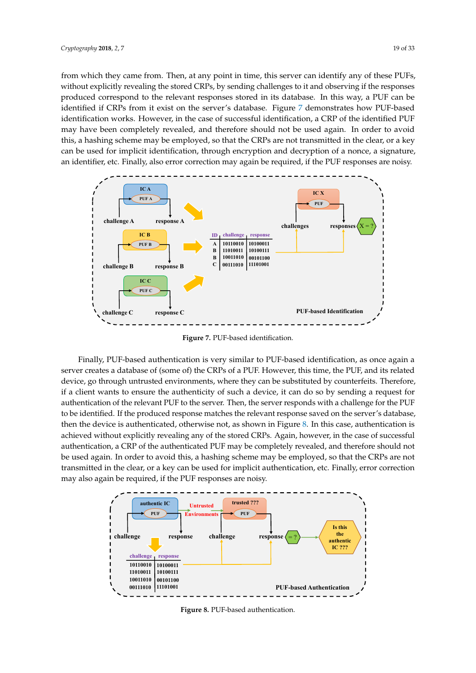from which they came from. Then, at any point in time, this server can identify any of these PUFs, without explicitly revealing the stored CRPs, by sending challenges to it and observing if the responses produced correspond to the relevant responses stored in its database. In this way, a PUF can be identified if CRPs from it exist on the server's database. Figure [7](#page-18-0) demonstrates how PUF-based identification works. However, in the case of successful identification, a CRP of the identified PUF may have been completely revealed, and therefore should not be used again. In order to avoid this, a hashing scheme may be employed, so that the CRPs are not transmitted in the clear, or a key can be used for implicit identification, through encryption and decryption of a nonce, a signature, an identifier, etc. Finally, also error correction may again be required, if the PUF responses are noisy.

<span id="page-18-0"></span>

**Figure 7.** PUF-based identification.

Finally, PUF-based authentication is very similar to PUF-based identification, as once again a server creates a database of (some of) the CRPs of a PUF. However, this time, the PUF, and its related device, go through untrusted environments, where they can be substituted by counterfeits. Therefore, if a client wants to ensure the authenticity of such a device, it can do so by sending a request for authentication of the relevant PUF to the server. Then, the server responds with a challenge for the PUF to be identified. If the produced response matches the relevant response saved on the server's database, then the device is authenticated, otherwise not, as shown in Figure [8.](#page-18-1) In this case, authentication is achieved without explicitly revealing any of the stored CRPs. Again, however, in the case of successful authentication, a CRP of the authenticated PUF may be completely revealed, and therefore should not be used again. In order to avoid this, a hashing scheme may be employed, so that the CRPs are not transmitted in the clear, or a key can be used for implicit authentication, etc. Finally, error correction may also again be required, if the PUF responses are noisy.

<span id="page-18-1"></span>

**Figure 8.** PUF-based authentication.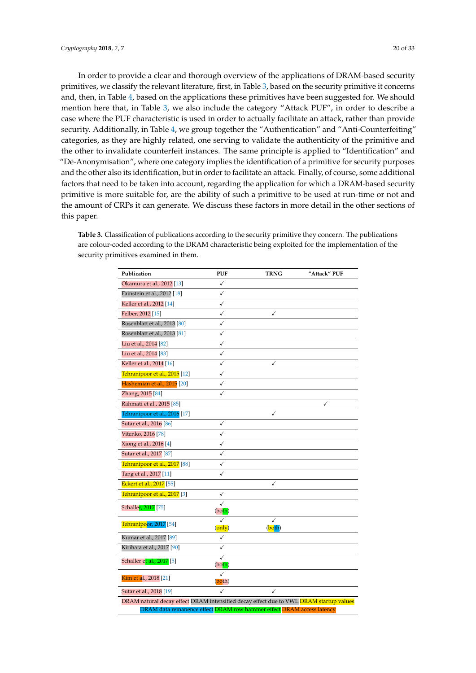In order to provide a clear and thorough overview of the applications of DRAM-based security primitives, we classify the relevant literature, first, in Table [3,](#page-19-0) based on the security primitive it concerns and, then, in Table [4,](#page-20-0) based on the applications these primitives have been suggested for. We should mention here that, in Table [3,](#page-19-0) we also include the category "Attack PUF", in order to describe a case where the PUF characteristic is used in order to actually facilitate an attack, rather than provide security. Additionally, in Table [4,](#page-20-0) we group together the "Authentication" and "Anti-Counterfeiting" categories, as they are highly related, one serving to validate the authenticity of the primitive and the other to invalidate counterfeit instances. The same principle is applied to "Identification" and "De-Anonymisation", where one category implies the identification of a primitive for security purposes and the other also its identification, but in order to facilitate an attack. Finally, of course, some additional factors that need to be taken into account, regarding the application for which a DRAM-based security primitive is more suitable for, are the ability of such a primitive to be used at run-time or not and the amount of CRPs it can generate. We discuss these factors in more detail in the other sections of this paper.

<span id="page-19-0"></span>**Table 3.** Classification of publications according to the security primitive they concern. The publications are colour-coded according to the DRAM characteristic being exploited for the implementation of the security primitives examined in them.

| Publication                                                                            | <b>PUF</b>        | <b>TRNG</b> | "Attack" PUF |
|----------------------------------------------------------------------------------------|-------------------|-------------|--------------|
| Okamura et al., 2012 [13]                                                              | ✓                 |             |              |
| Fainstein et al., 2012 [18]                                                            | ✓                 |             |              |
| Keller et al., 2012 [14]                                                               | √                 |             |              |
| Felber, 2012 <sup>[15]</sup>                                                           | ✓                 | ✓           |              |
| Rosenblatt et al., 2013 [80]                                                           | √                 |             |              |
| Rosenblatt et al., 2013 [81]                                                           | ✓                 |             |              |
| Liu et al., 2014 [82]                                                                  | ✓                 |             |              |
| Liu et al., 2014 [83]                                                                  | ✓                 |             |              |
| Keller et al., 2014 [16]                                                               | ✓                 | ✓           |              |
| Tehranipoor et al., 2015 [12]                                                          | ✓                 |             |              |
| Hashemian et al., 2015 [20]                                                            | √                 |             |              |
| Zhang, 2015 <sup>[84]</sup>                                                            |                   |             |              |
| Rahmati et al., 2015 [85]                                                              |                   |             | ✓            |
| Tehranipoor et al., 2016 [17]                                                          |                   | ✓           |              |
| Sutar et al., 2016 [86]                                                                | ✓                 |             |              |
| Vitenko, 2016 [78]                                                                     | ✓                 |             |              |
| Xiong et al., 2016 [4]                                                                 | √                 |             |              |
| Sutar et al., 2017 [87]                                                                | ✓                 |             |              |
| Tehranipoor et al., 2017 [88]                                                          | ✓                 |             |              |
| Tang et al., 2017 [11]                                                                 | ✓                 |             |              |
| Eckert et al., 2017 [55]                                                               |                   | ✓           |              |
| Tehranipoor et al., 2017 [3]                                                           | ✓                 |             |              |
| Schaller, 2017 [75]                                                                    | ✓<br>(both)       |             |              |
| Tehranipoor, 2017 [54]                                                                 | ✓<br>$($ only $)$ | ✓<br>(both) |              |
| Kumar et al., 2017 [89]                                                                | ✓                 |             |              |
| Kirihata et al., 2017 [90]                                                             | ✓                 |             |              |
| Schaller et al., 2017 [5]                                                              | ✓<br>(both)       |             |              |
| Kim et al., 2018 [21]                                                                  | ✓<br>$both$       |             |              |
| Sutar et al., 2018 [19]                                                                | ✓                 | ✓           |              |
| DRAM natural decay effect DRAM intensified decay effect due to VWL DRAM startup values |                   |             |              |
| DRAM data remanence effect DRAM row hammer effect DRAM access latency                  |                   |             |              |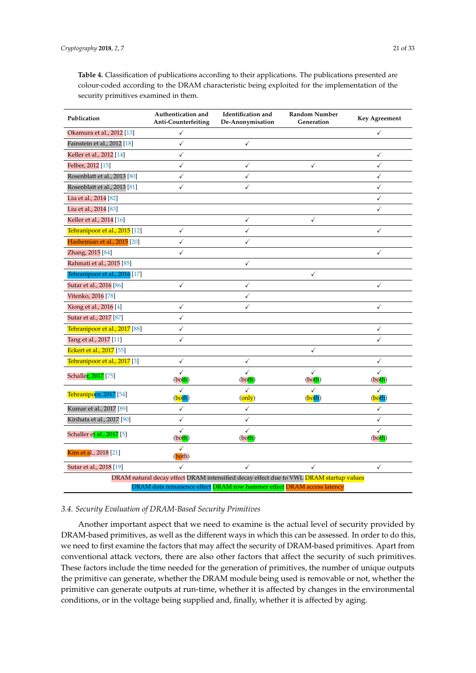<span id="page-20-0"></span>**Table 4.** Classification of publications according to their applications. The publications presented are colour-coded according to the DRAM characteristic being exploited for the implementation of the security primitives examined in them.

| Publication                        | Authentication and<br>Anti-Counterfeiting                                              | Identification and<br>De-Anonymisation | <b>Random Number</b><br>Generation | <b>Key Agreement</b>       |
|------------------------------------|----------------------------------------------------------------------------------------|----------------------------------------|------------------------------------|----------------------------|
| Okamura et al., 2012 [13]          | ✓                                                                                      |                                        |                                    | ✓                          |
| Fainstein et al., 2012 [18]        | ✓                                                                                      | $\checkmark$                           |                                    |                            |
| Keller et al., 2012 [14]           | ✓                                                                                      |                                        |                                    | ✓                          |
| Felber, 2012 <sup>[15]</sup>       | $\checkmark$                                                                           | ✓                                      | ✓                                  | ✓                          |
| Rosenblatt et al., 2013 [80]       | ✓                                                                                      | ✓                                      |                                    | ✓                          |
| Rosenblatt et al., 2013 [81]       | ✓                                                                                      | ✓                                      |                                    | ✓                          |
| Liu et al., 2014 [82]              |                                                                                        |                                        |                                    | ✓                          |
| Liu et al., 2014 [83]              |                                                                                        |                                        |                                    | ✓                          |
| Keller et al., 2014 [16]           |                                                                                        | ✓                                      | ✓                                  |                            |
| Tehranipoor et al., 2015 [12]      | $\checkmark$                                                                           | ✓                                      |                                    | $\checkmark$               |
| Hashemian et al., 2015 [20]        | $\checkmark$                                                                           | ✓                                      |                                    |                            |
| Zhang, 2015 <sup>[84]</sup>        | ✓                                                                                      |                                        |                                    | $\checkmark$               |
| Rahmati et al., 2015 [85]          |                                                                                        | ✓                                      |                                    |                            |
| Tehranipoor et al., 2016 [17]      |                                                                                        |                                        | $\checkmark$                       |                            |
| Sutar et al., 2016 [86]            | $\checkmark$                                                                           | ✓                                      |                                    | ✓                          |
| Vitenko, 2016 [78]                 |                                                                                        | ✓                                      |                                    |                            |
| Xiong et al., 2016 [4]             | $\checkmark$                                                                           | ✓                                      |                                    | ✓                          |
| Sutar et al., 2017 [87]            | $\checkmark$                                                                           |                                        |                                    |                            |
| Tehranipoor et al., 2017 [88]      | ✓                                                                                      |                                        |                                    | ✓                          |
| Tang et al., 2017 [11]             | ✓                                                                                      |                                        |                                    | $\checkmark$               |
| Eckert et al., 2017 [55]           |                                                                                        |                                        | $\checkmark$                       |                            |
| Tehranipoor et al., 2017 [3]       | ✓                                                                                      | ✓                                      |                                    | ✓                          |
| Schalle <mark>r</mark> , 2017 [75] | ✓                                                                                      | ✓                                      | $\checkmark$                       | ✓                          |
|                                    | (both)                                                                                 | (both)                                 | (bo <mark>th</mark> )              | (bo <mark>th</mark> )      |
| Tehranipoor, 2017 [54]             | $\checkmark$<br>(both)                                                                 | ✓<br>$($ only $)$                      | ✓<br>( <mark>both</mark> )         | ✓<br>(both)                |
| Kumar et al., 2017 [89]            | ✓                                                                                      | ✓                                      |                                    | ✓                          |
| Kirihata et al., 2017 [90]         | ✓                                                                                      | ✓                                      |                                    | ✓                          |
| Schaller et al., 2017 [5]          | ✓<br>(both)                                                                            | ✓<br>(both)                            |                                    | ✓<br>(bo <mark>th</mark> ) |
| Kim et al., 2018 [21]              | ✓<br>(both)                                                                            |                                        |                                    |                            |
| Sutar et al., 2018 [19]            | ✓                                                                                      | ✓                                      | ✓                                  | $\checkmark$               |
|                                    | DRAM natural decay effect DRAM intensified decay effect due to VWL DRAM startup values |                                        |                                    |                            |
|                                    | DRAM data remanence effect DRAM row hammer effect DRAM access latency                  |                                        |                                    |                            |

## *3.4. Security Evaluation of DRAM-Based Security Primitives*

Another important aspect that we need to examine is the actual level of security provided by DRAM-based primitives, as well as the different ways in which this can be assessed. In order to do this, we need to first examine the factors that may affect the security of DRAM-based primitives. Apart from conventional attack vectors, there are also other factors that affect the security of such primitives. These factors include the time needed for the generation of primitives, the number of unique outputs the primitive can generate, whether the DRAM module being used is removable or not, whether the primitive can generate outputs at run-time, whether it is affected by changes in the environmental conditions, or in the voltage being supplied and, finally, whether it is affected by aging.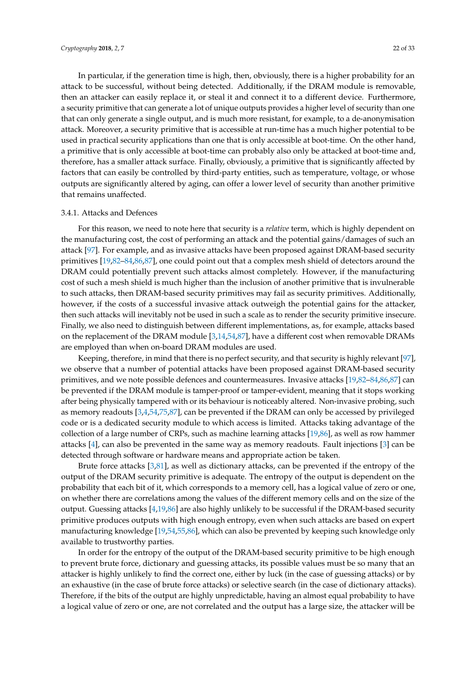In particular, if the generation time is high, then, obviously, there is a higher probability for an attack to be successful, without being detected. Additionally, if the DRAM module is removable, then an attacker can easily replace it, or steal it and connect it to a different device. Furthermore, a security primitive that can generate a lot of unique outputs provides a higher level of security than one that can only generate a single output, and is much more resistant, for example, to a de-anonymisation attack. Moreover, a security primitive that is accessible at run-time has a much higher potential to be used in practical security applications than one that is only accessible at boot-time. On the other hand, a primitive that is only accessible at boot-time can probably also only be attacked at boot-time and, therefore, has a smaller attack surface. Finally, obviously, a primitive that is significantly affected by factors that can easily be controlled by third-party entities, such as temperature, voltage, or whose outputs are significantly altered by aging, can offer a lower level of security than another primitive that remains unaffected.

#### 3.4.1. Attacks and Defences

For this reason, we need to note here that security is a *relative* term, which is highly dependent on the manufacturing cost, the cost of performing an attack and the potential gains/damages of such an attack [\[97\]](#page-32-9). For example, and as invasive attacks have been proposed against DRAM-based security primitives [\[19](#page-28-9)[,82–](#page-31-10)[84](#page-31-12)[,86](#page-31-14)[,87\]](#page-31-15), one could point out that a complex mesh shield of detectors around the DRAM could potentially prevent such attacks almost completely. However, if the manufacturing cost of such a mesh shield is much higher than the inclusion of another primitive that is invulnerable to such attacks, then DRAM-based security primitives may fail as security primitives. Additionally, however, if the costs of a successful invasive attack outweigh the potential gains for the attacker, then such attacks will inevitably not be used in such a scale as to render the security primitive insecure. Finally, we also need to distinguish between different implementations, as, for example, attacks based on the replacement of the DRAM module [\[3,](#page-27-5)[14,](#page-28-16)[54,](#page-30-8)[87\]](#page-31-15), have a different cost when removable DRAMs are employed than when on-board DRAM modules are used.

Keeping, therefore, in mind that there is no perfect security, and that security is highly relevant [\[97\]](#page-32-9), we observe that a number of potential attacks have been proposed against DRAM-based security primitives, and we note possible defences and countermeasures. Invasive attacks [\[19,](#page-28-9)[82](#page-31-10)[–84](#page-31-12)[,86](#page-31-14)[,87\]](#page-31-15) can be prevented if the DRAM module is tamper-proof or tamper-evident, meaning that it stops working after being physically tampered with or its behaviour is noticeably altered. Non-invasive probing, such as memory readouts [\[3,](#page-27-5)[4,](#page-27-6)[54,](#page-30-8)[75,](#page-31-3)[87\]](#page-31-15), can be prevented if the DRAM can only be accessed by privileged code or is a dedicated security module to which access is limited. Attacks taking advantage of the collection of a large number of CRPs, such as machine learning attacks [\[19](#page-28-9)[,86\]](#page-31-14), as well as row hammer attacks [\[4\]](#page-27-6), can also be prevented in the same way as memory readouts. Fault injections [\[3\]](#page-27-5) can be detected through software or hardware means and appropriate action be taken.

Brute force attacks [\[3](#page-27-5)[,81\]](#page-31-9), as well as dictionary attacks, can be prevented if the entropy of the output of the DRAM security primitive is adequate. The entropy of the output is dependent on the probability that each bit of it, which corresponds to a memory cell, has a logical value of zero or one, on whether there are correlations among the values of the different memory cells and on the size of the output. Guessing attacks [\[4](#page-27-6)[,19,](#page-28-9)[86\]](#page-31-14) are also highly unlikely to be successful if the DRAM-based security primitive produces outputs with high enough entropy, even when such attacks are based on expert manufacturing knowledge [\[19](#page-28-9)[,54](#page-30-8)[,55](#page-30-9)[,86\]](#page-31-14), which can also be prevented by keeping such knowledge only available to trustworthy parties.

In order for the entropy of the output of the DRAM-based security primitive to be high enough to prevent brute force, dictionary and guessing attacks, its possible values must be so many that an attacker is highly unlikely to find the correct one, either by luck (in the case of guessing attacks) or by an exhaustive (in the case of brute force attacks) or selective search (in the case of dictionary attacks). Therefore, if the bits of the output are highly unpredictable, having an almost equal probability to have a logical value of zero or one, are not correlated and the output has a large size, the attacker will be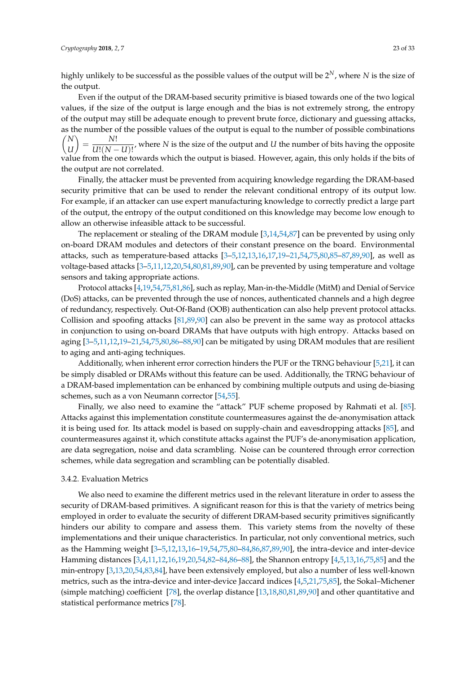highly unlikely to be successful as the possible values of the output will be  $2^N$ , where  $N$  is the size of the output.

Even if the output of the DRAM-based security primitive is biased towards one of the two logical values, if the size of the output is large enough and the bias is not extremely strong, the entropy of the output may still be adequate enough to prevent brute force, dictionary and guessing attacks, as the number of the possible values of the output is equal to the number of possible combinations  $\sqrt{2}$ *N U*  $\setminus$ = *N*!  $\frac{W}{U!(N-U)!}$ , where *N* is the size of the output and *U* the number of bits having the opposite value from the one towards which the output is biased. However, again, this only holds if the bits of the output are not correlated.

Finally, the attacker must be prevented from acquiring knowledge regarding the DRAM-based security primitive that can be used to render the relevant conditional entropy of its output low. For example, if an attacker can use expert manufacturing knowledge to correctly predict a large part of the output, the entropy of the output conditioned on this knowledge may become low enough to allow an otherwise infeasible attack to be successful.

The replacement or stealing of the DRAM module [\[3](#page-27-5)[,14](#page-28-16)[,54](#page-30-8)[,87\]](#page-31-15) can be prevented by using only on-board DRAM modules and detectors of their constant presence on the board. Environmental attacks, such as temperature-based attacks [\[3](#page-27-5)[–5,](#page-27-4)[12,](#page-28-4)[13,](#page-28-5)[16,](#page-28-6)[17,](#page-28-7)[19–](#page-28-9)[21,](#page-28-11)[54,](#page-30-8)[75,](#page-31-3)[80,](#page-31-8)[85–](#page-31-13)[87,](#page-31-15)[89,](#page-32-1)[90\]](#page-32-2), as well as voltage-based attacks [\[3](#page-27-5)[–5](#page-27-4)[,11,](#page-28-3)[12,](#page-28-4)[20,](#page-28-10)[54](#page-30-8)[,80](#page-31-8)[,81,](#page-31-9)[89,](#page-32-1)[90\]](#page-32-2), can be prevented by using temperature and voltage sensors and taking appropriate actions.

Protocol attacks [\[4](#page-27-6)[,19](#page-28-9)[,54](#page-30-8)[,75,](#page-31-3)[81,](#page-31-9)[86\]](#page-31-14), such as replay, Man-in-the-Middle (MitM) and Denial of Service (DoS) attacks, can be prevented through the use of nonces, authenticated channels and a high degree of redundancy, respectively. Out-Of-Band (OOB) authentication can also help prevent protocol attacks. Collision and spoofing attacks [\[81](#page-31-9)[,89](#page-32-1)[,90\]](#page-32-2) can also be prevent in the same way as protocol attacks in conjunction to using on-board DRAMs that have outputs with high entropy. Attacks based on aging [\[3](#page-27-5)[–5,](#page-27-4)[11](#page-28-3)[,12](#page-28-4)[,19](#page-28-9)[–21](#page-28-11)[,54,](#page-30-8)[75,](#page-31-3)[80,](#page-31-8)[86](#page-31-14)[–88,](#page-32-0)[90\]](#page-32-2) can be mitigated by using DRAM modules that are resilient to aging and anti-aging techniques.

Additionally, when inherent error correction hinders the PUF or the TRNG behaviour [\[5,](#page-27-4)[21\]](#page-28-11), it can be simply disabled or DRAMs without this feature can be used. Additionally, the TRNG behaviour of a DRAM-based implementation can be enhanced by combining multiple outputs and using de-biasing schemes, such as a von Neumann corrector [\[54,](#page-30-8)[55\]](#page-30-9).

Finally, we also need to examine the "attack" PUF scheme proposed by Rahmati et al. [\[85\]](#page-31-13). Attacks against this implementation constitute countermeasures against the de-anonymisation attack it is being used for. Its attack model is based on supply-chain and eavesdropping attacks [\[85\]](#page-31-13), and countermeasures against it, which constitute attacks against the PUF's de-anonymisation application, are data segregation, noise and data scrambling. Noise can be countered through error correction schemes, while data segregation and scrambling can be potentially disabled.

#### 3.4.2. Evaluation Metrics

We also need to examine the different metrics used in the relevant literature in order to assess the security of DRAM-based primitives. A significant reason for this is that the variety of metrics being employed in order to evaluate the security of different DRAM-based security primitives significantly hinders our ability to compare and assess them. This variety stems from the novelty of these implementations and their unique characteristics. In particular, not only conventional metrics, such as the Hamming weight [\[3](#page-27-5)[–5](#page-27-4)[,12](#page-28-4)[,13](#page-28-5)[,16–](#page-28-6)[19](#page-28-9)[,54](#page-30-8)[,75](#page-31-3)[,80](#page-31-8)[–84](#page-31-12)[,86](#page-31-14)[,87](#page-31-15)[,89](#page-32-1)[,90\]](#page-32-2), the intra-device and inter-device Hamming distances [\[3,](#page-27-5)[4,](#page-27-6)[11](#page-28-3)[,12](#page-28-4)[,16](#page-28-6)[,19](#page-28-9)[,20](#page-28-10)[,54,](#page-30-8)[82–](#page-31-10)[84,](#page-31-12)[86](#page-31-14)[–88\]](#page-32-0), the Shannon entropy [\[4](#page-27-6)[,5,](#page-27-4)[13,](#page-28-5)[16,](#page-28-6)[75](#page-31-3)[,85\]](#page-31-13) and the min-entropy [\[3](#page-27-5)[,13](#page-28-5)[,20,](#page-28-10)[54,](#page-30-8)[83](#page-31-11)[,84\]](#page-31-12), have been extensively employed, but also a number of less well-known metrics, such as the intra-device and inter-device Jaccard indices [\[4](#page-27-6)[,5,](#page-27-4)[21](#page-28-11)[,75,](#page-31-3)[85\]](#page-31-13), the Sokal–Michener (simple matching) coefficient [\[78\]](#page-31-6), the overlap distance [\[13,](#page-28-5)[18,](#page-28-8)[80,](#page-31-8)[81,](#page-31-9)[89](#page-32-1)[,90\]](#page-32-2) and other quantitative and statistical performance metrics [\[78\]](#page-31-6).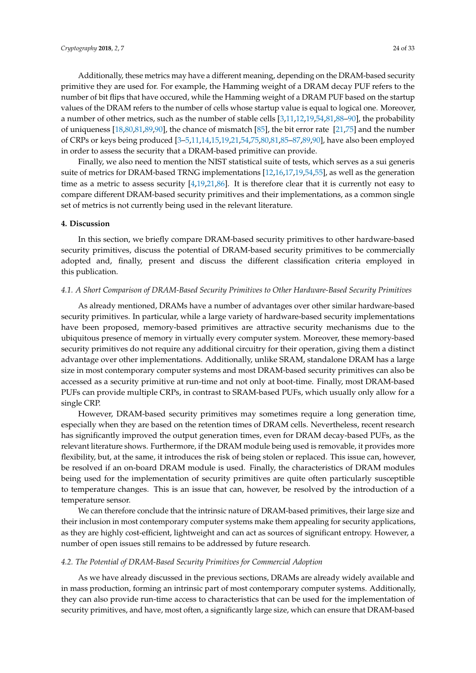Additionally, these metrics may have a different meaning, depending on the DRAM-based security primitive they are used for. For example, the Hamming weight of a DRAM decay PUF refers to the number of bit flips that have occured, while the Hamming weight of a DRAM PUF based on the startup values of the DRAM refers to the number of cells whose startup value is equal to logical one. Moreover, a number of other metrics, such as the number of stable cells [\[3](#page-27-5)[,11](#page-28-3)[,12](#page-28-4)[,19](#page-28-9)[,54](#page-30-8)[,81](#page-31-9)[,88](#page-32-0)[–90\]](#page-32-2), the probability of uniqueness [\[18](#page-28-8)[,80](#page-31-8)[,81,](#page-31-9)[89,](#page-32-1)[90\]](#page-32-2), the chance of mismatch [\[85\]](#page-31-13), the bit error rate [\[21](#page-28-11)[,75\]](#page-31-3) and the number of CRPs or keys being produced [\[3–](#page-27-5)[5](#page-27-4)[,11](#page-28-3)[,14,](#page-28-16)[15,](#page-28-17)[19,](#page-28-9)[21](#page-28-11)[,54](#page-30-8)[,75](#page-31-3)[,80,](#page-31-8)[81,](#page-31-9)[85](#page-31-13)[–87](#page-31-15)[,89](#page-32-1)[,90\]](#page-32-2), have also been employed in order to assess the security that a DRAM-based primitive can provide.

Finally, we also need to mention the NIST statistical suite of tests, which serves as a sui generis suite of metrics for DRAM-based TRNG implementations [\[12](#page-28-4)[,16,](#page-28-6)[17,](#page-28-7)[19,](#page-28-9)[54](#page-30-8)[,55\]](#page-30-9), as well as the generation time as a metric to assess security [\[4,](#page-27-6)[19,](#page-28-9)[21,](#page-28-11)[86\]](#page-31-14). It is therefore clear that it is currently not easy to compare different DRAM-based security primitives and their implementations, as a common single set of metrics is not currently being used in the relevant literature.

## <span id="page-23-0"></span>**4. Discussion**

In this section, we briefly compare DRAM-based security primitives to other hardware-based security primitives, discuss the potential of DRAM-based security primitives to be commercially adopted and, finally, present and discuss the different classification criteria employed in this publication.

#### *4.1. A Short Comparison of DRAM-Based Security Primitives to Other Hardware-Based Security Primitives*

As already mentioned, DRAMs have a number of advantages over other similar hardware-based security primitives. In particular, while a large variety of hardware-based security implementations have been proposed, memory-based primitives are attractive security mechanisms due to the ubiquitous presence of memory in virtually every computer system. Moreover, these memory-based security primitives do not require any additional circuitry for their operation, giving them a distinct advantage over other implementations. Additionally, unlike SRAM, standalone DRAM has a large size in most contemporary computer systems and most DRAM-based security primitives can also be accessed as a security primitive at run-time and not only at boot-time. Finally, most DRAM-based PUFs can provide multiple CRPs, in contrast to SRAM-based PUFs, which usually only allow for a single CRP.

However, DRAM-based security primitives may sometimes require a long generation time, especially when they are based on the retention times of DRAM cells. Nevertheless, recent research has significantly improved the output generation times, even for DRAM decay-based PUFs, as the relevant literature shows. Furthermore, if the DRAM module being used is removable, it provides more flexibility, but, at the same, it introduces the risk of being stolen or replaced. This issue can, however, be resolved if an on-board DRAM module is used. Finally, the characteristics of DRAM modules being used for the implementation of security primitives are quite often particularly susceptible to temperature changes. This is an issue that can, however, be resolved by the introduction of a temperature sensor.

We can therefore conclude that the intrinsic nature of DRAM-based primitives, their large size and their inclusion in most contemporary computer systems make them appealing for security applications, as they are highly cost-efficient, lightweight and can act as sources of significant entropy. However, a number of open issues still remains to be addressed by future research.

#### *4.2. The Potential of DRAM-Based Security Primitives for Commercial Adoption*

As we have already discussed in the previous sections, DRAMs are already widely available and in mass production, forming an intrinsic part of most contemporary computer systems. Additionally, they can also provide run-time access to characteristics that can be used for the implementation of security primitives, and have, most often, a significantly large size, which can ensure that DRAM-based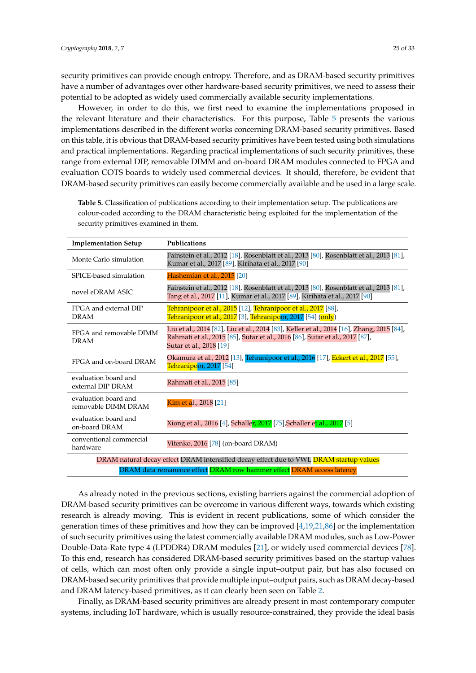security primitives can provide enough entropy. Therefore, and as DRAM-based security primitives have a number of advantages over other hardware-based security primitives, we need to assess their potential to be adopted as widely used commercially available security implementations.

However, in order to do this, we first need to examine the implementations proposed in the relevant literature and their characteristics. For this purpose, Table [5](#page-24-0) presents the various implementations described in the different works concerning DRAM-based security primitives. Based on this table, it is obvious that DRAM-based security primitives have been tested using both simulations and practical implementations. Regarding practical implementations of such security primitives, these range from external DIP, removable DIMM and on-board DRAM modules connected to FPGA and evaluation COTS boards to widely used commercial devices. It should, therefore, be evident that DRAM-based security primitives can easily become commercially available and be used in a large scale.

<span id="page-24-0"></span>**Table 5.** Classification of publications according to their implementation setup. The publications are colour-coded according to the DRAM characteristic being exploited for the implementation of the security primitives examined in them.

| <b>Implementation Setup</b>                 | <b>Publications</b>                                                                                                                                                                                  |
|---------------------------------------------|------------------------------------------------------------------------------------------------------------------------------------------------------------------------------------------------------|
| Monte Carlo simulation                      | Fainstein et al., 2012 [18], Rosenblatt et al., 2013 [80], Rosenblatt et al., 2013 [81],<br>Kumar et al., 2017 [89], Kirihata et al., 2017 [90]                                                      |
| SPICE-based simulation                      | Hashemian et al., 2015 [20]                                                                                                                                                                          |
| novel eDRAM ASIC                            | Fainstein et al., 2012 [18], Rosenblatt et al., 2013 [80], Rosenblatt et al., 2013 [81],<br>Tang et al., 2017 [11], Kumar et al., 2017 [89], Kirihata et al., 2017 [90]                              |
| FPGA and external DIP<br><b>DRAM</b>        | Tehranipoor et al., 2015 [12], Tehranipoor et al., 2017 [88],<br><b>Tehranipoor et al., 2017</b> [3], <b>Tehranipoor, 2017</b> [54] (only)                                                           |
| FPGA and removable DIMM<br><b>DRAM</b>      | Liu et al., 2014 [82], Liu et al., 2014 [83], Keller et al., 2014 [16], Zhang, 2015 [84],<br>Rahmati et al., 2015 [85], Sutar et al., 2016 [86], Sutar et al., 2017 [87],<br>Sutar et al., 2018 [19] |
| FPGA and on-board DRAM                      | Okamura et al., 2012 [13], Tehranipoor et al., 2016 [17], Eckert et al., 2017 [55],<br>Tehranipoor, 2017 [54]                                                                                        |
| evaluation board and<br>external DIP DRAM   | Rahmati et al., 2015 [85]                                                                                                                                                                            |
| evaluation board and<br>removable DIMM DRAM | <b>Kim et al., 2018</b> [21]                                                                                                                                                                         |
| evaluation board and<br>on-board DRAM       | Xiong et al., 2016 [4], Schaller, 2017 [75], Schaller et al., 2017 [5]                                                                                                                               |
| conventional commercial<br>hardware         | Vitenko, 2016 [78] (on-board DRAM)                                                                                                                                                                   |
|                                             | DRAM natural decay effect DRAM intensified decay effect due to VWL DRAM startup values                                                                                                               |
|                                             | DRAM data remanence effect DRAM row hammer effect DRAM access latency                                                                                                                                |

As already noted in the previous sections, existing barriers against the commercial adoption of DRAM-based security primitives can be overcome in various different ways, towards which existing research is already moving. This is evident in recent publications, some of which consider the generation times of these primitives and how they can be improved  $[4,19,21,86]$  $[4,19,21,86]$  $[4,19,21,86]$  $[4,19,21,86]$  or the implementation of such security primitives using the latest commercially available DRAM modules, such as Low-Power Double-Data-Rate type 4 (LPDDR4) DRAM modules [\[21\]](#page-28-11), or widely used commercial devices [\[78\]](#page-31-6). To this end, research has considered DRAM-based security primitives based on the startup values of cells, which can most often only provide a single input–output pair, but has also focused on DRAM-based security primitives that provide multiple input–output pairs, such as DRAM decay-based and DRAM latency-based primitives, as it can clearly been seen on Table [2.](#page-11-0)

Finally, as DRAM-based security primitives are already present in most contemporary computer systems, including IoT hardware, which is usually resource-constrained, they provide the ideal basis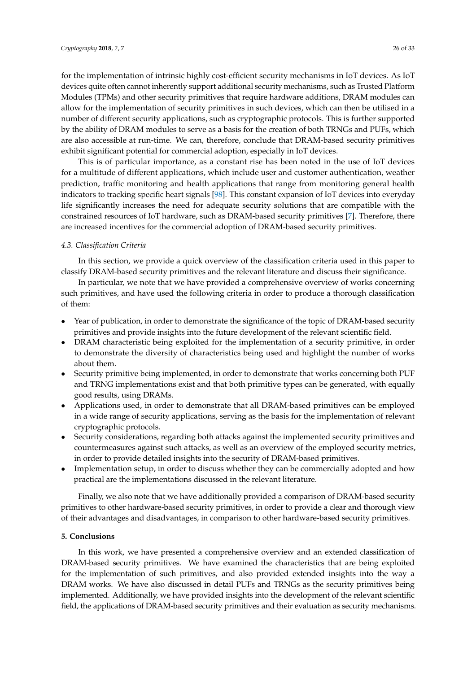for the implementation of intrinsic highly cost-efficient security mechanisms in IoT devices. As IoT devices quite often cannot inherently support additional security mechanisms, such as Trusted Platform Modules (TPMs) and other security primitives that require hardware additions, DRAM modules can allow for the implementation of security primitives in such devices, which can then be utilised in a number of different security applications, such as cryptographic protocols. This is further supported by the ability of DRAM modules to serve as a basis for the creation of both TRNGs and PUFs, which are also accessible at run-time. We can, therefore, conclude that DRAM-based security primitives exhibit significant potential for commercial adoption, especially in IoT devices.

This is of particular importance, as a constant rise has been noted in the use of IoT devices for a multitude of different applications, which include user and customer authentication, weather prediction, traffic monitoring and health applications that range from monitoring general health indicators to tracking specific heart signals [\[98\]](#page-32-10). This constant expansion of IoT devices into everyday life significantly increases the need for adequate security solutions that are compatible with the constrained resources of IoT hardware, such as DRAM-based security primitives [\[7\]](#page-27-3). Therefore, there are increased incentives for the commercial adoption of DRAM-based security primitives.

## *4.3. Classification Criteria*

In this section, we provide a quick overview of the classification criteria used in this paper to classify DRAM-based security primitives and the relevant literature and discuss their significance.

In particular, we note that we have provided a comprehensive overview of works concerning such primitives, and have used the following criteria in order to produce a thorough classification of them:

- Year of publication, in order to demonstrate the significance of the topic of DRAM-based security primitives and provide insights into the future development of the relevant scientific field.
- DRAM characteristic being exploited for the implementation of a security primitive, in order to demonstrate the diversity of characteristics being used and highlight the number of works about them.
- Security primitive being implemented, in order to demonstrate that works concerning both PUF and TRNG implementations exist and that both primitive types can be generated, with equally good results, using DRAMs.
- Applications used, in order to demonstrate that all DRAM-based primitives can be employed in a wide range of security applications, serving as the basis for the implementation of relevant cryptographic protocols.
- Security considerations, regarding both attacks against the implemented security primitives and countermeasures against such attacks, as well as an overview of the employed security metrics, in order to provide detailed insights into the security of DRAM-based primitives.
- Implementation setup, in order to discuss whether they can be commercially adopted and how practical are the implementations discussed in the relevant literature.

Finally, we also note that we have additionally provided a comparison of DRAM-based security primitives to other hardware-based security primitives, in order to provide a clear and thorough view of their advantages and disadvantages, in comparison to other hardware-based security primitives.

## <span id="page-25-0"></span>**5. Conclusions**

In this work, we have presented a comprehensive overview and an extended classification of DRAM-based security primitives. We have examined the characteristics that are being exploited for the implementation of such primitives, and also provided extended insights into the way a DRAM works. We have also discussed in detail PUFs and TRNGs as the security primitives being implemented. Additionally, we have provided insights into the development of the relevant scientific field, the applications of DRAM-based security primitives and their evaluation as security mechanisms.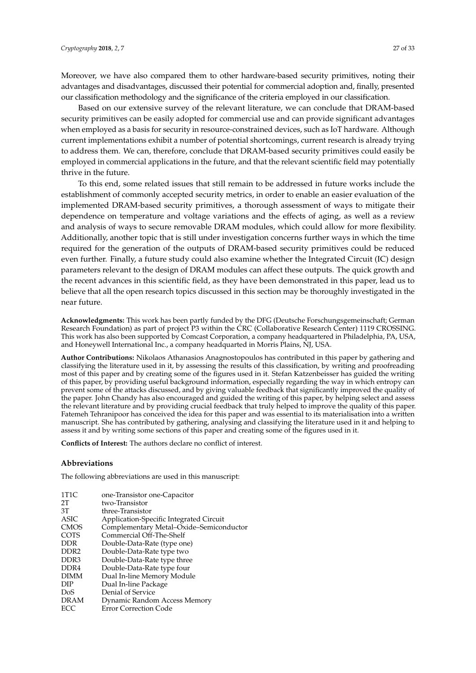Moreover, we have also compared them to other hardware-based security primitives, noting their advantages and disadvantages, discussed their potential for commercial adoption and, finally, presented our classification methodology and the significance of the criteria employed in our classification.

Based on our extensive survey of the relevant literature, we can conclude that DRAM-based security primitives can be easily adopted for commercial use and can provide significant advantages when employed as a basis for security in resource-constrained devices, such as IoT hardware. Although current implementations exhibit a number of potential shortcomings, current research is already trying to address them. We can, therefore, conclude that DRAM-based security primitives could easily be employed in commercial applications in the future, and that the relevant scientific field may potentially thrive in the future.

To this end, some related issues that still remain to be addressed in future works include the establishment of commonly accepted security metrics, in order to enable an easier evaluation of the implemented DRAM-based security primitives, a thorough assessment of ways to mitigate their dependence on temperature and voltage variations and the effects of aging, as well as a review and analysis of ways to secure removable DRAM modules, which could allow for more flexibility. Additionally, another topic that is still under investigation concerns further ways in which the time required for the generation of the outputs of DRAM-based security primitives could be reduced even further. Finally, a future study could also examine whether the Integrated Circuit (IC) design parameters relevant to the design of DRAM modules can affect these outputs. The quick growth and the recent advances in this scientific field, as they have been demonstrated in this paper, lead us to believe that all the open research topics discussed in this section may be thoroughly investigated in the near future.

**Acknowledgments:** This work has been partly funded by the DFG (Deutsche Forschungsgemeinschaft; German Research Foundation) as part of project P3 within the CRC (Collaborative Research Center) 1119 CROSSING. This work has also been supported by Comcast Corporation, a company headquartered in Philadelphia, PA, USA, and Honeywell International Inc., a company headquarted in Morris Plains, NJ, USA.

**Author Contributions:** Nikolaos Athanasios Anagnostopoulos has contributed in this paper by gathering and classifying the literature used in it, by assessing the results of this classification, by writing and proofreading most of this paper and by creating some of the figures used in it. Stefan Katzenbeisser has guided the writing of this paper, by providing useful background information, especially regarding the way in which entropy can prevent some of the attacks discussed, and by giving valuable feedback that significantly improved the quality of the paper. John Chandy has also encouraged and guided the writing of this paper, by helping select and assess the relevant literature and by providing crucial feedback that truly helped to improve the quality of this paper. Fatemeh Tehranipoor has conceived the idea for this paper and was essential to its materialisation into a written manuscript. She has contributed by gathering, analysing and classifying the literature used in it and helping to assess it and by writing some sections of this paper and creating some of the figures used in it.

**Conflicts of Interest:** The authors declare no conflict of interest.

#### **Abbreviations**

The following abbreviations are used in this manuscript:

| 1T <sub>1</sub> C | one-Transistor one-Capacitor            |
|-------------------|-----------------------------------------|
| 2T                | two-Transistor                          |
| 3T                | three-Transistor                        |
| ASIC.             | Application-Specific Integrated Circuit |
| <b>CMOS</b>       | Complementary Metal-Oxide-Semiconductor |
| <b>COTS</b>       | Commercial Off-The-Shelf                |
| <b>DDR</b>        | Double-Data-Rate (type one)             |
| DDR <sub>2</sub>  | Double-Data-Rate type two               |
| DDR <sub>3</sub>  | Double-Data-Rate type three             |
| DDR <sub>4</sub>  | Double-Data-Rate type four              |
| <b>DIMM</b>       | Dual In-line Memory Module              |
| DIP               | Dual In-line Package                    |
| DoS               | Denial of Service                       |
| <b>DRAM</b>       | Dynamic Random Access Memory            |
| ECC               | Error Correction Code                   |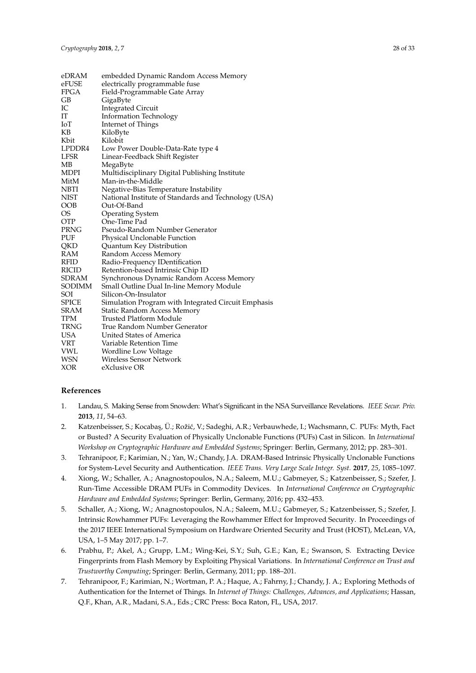| eDRAM        | embedded Dynamic Random Access Memory                |
|--------------|------------------------------------------------------|
| eFUSE        | electrically programmable fuse                       |
| FPGA         | Field-Programmable Gate Array                        |
| GВ           | GigaByte                                             |
| IС           | <b>Integrated Circuit</b>                            |
| IT           | <b>Information Technology</b>                        |
| IоT          | Internet of Things                                   |
| KВ           | KiloByte                                             |
| Kbit         | Kilobit                                              |
| LPDDR4       | Low Power Double-Data-Rate type 4                    |
| LFSR         | Linear-Feedback Shift Register                       |
| MВ           | MegaByte                                             |
| MDPI         | Multidisciplinary Digital Publishing Institute       |
| MitM         | Man-in-the-Middle                                    |
| NBTI         | Negative-Bias Temperature Instability                |
| NIST         | National Institute of Standards and Technology (USA) |
| OOB          | Out-Of-Band                                          |
| OS           | <b>Operating System</b>                              |
| OTP          | One-Time Pad                                         |
| PRNG         | Pseudo-Random Number Generator                       |
| PUF          | Physical Unclonable Function                         |
| QKD          | Quantum Key Distribution                             |
| RAM          | Random Access Memory                                 |
| RFID         | Radio-Frequency IDentification                       |
| RICID        | Retention-based Intrinsic Chip ID                    |
| SDRAM        | Synchronous Dynamic Random Access Memory             |
| SODIMM       | Small Outline Dual In-line Memory Module             |
| SOI          | Silicon-On-Insulator                                 |
| SPICE        | Simulation Program with Integrated Circuit Emphasis  |
| SRAM         | Static Random Access Memory                          |
| TPM          | Trusted Platform Module                              |
| TRNG         | True Random Number Generator                         |
| USA          | United States of America                             |
| VRT          | Variable Retention Time                              |
| <b>VIAIT</b> | $M_{\odot}$ udling Loui $M_{\odot}$ kago             |

VWL Wordline Low Voltage

WSN Wireless Sensor Network

XOR eXclusive OR

## **References**

- <span id="page-27-0"></span>1. Landau, S. Making Sense from Snowden: What's Significant in the NSA Surveillance Revelations. *IEEE Secur. Priv.* **2013**, *11*, 54–63.
- <span id="page-27-1"></span>2. Katzenbeisser, S.; Kocabaş, Ü.; Rožić, V.; Sadeghi, A.R.; Verbauwhede, I.; Wachsmann, C. PUFs: Myth, Fact or Busted? A Security Evaluation of Physically Unclonable Functions (PUFs) Cast in Silicon. In *International Workshop on Cryptographic Hardware and Embedded Systems*; Springer: Berlin, Germany, 2012; pp. 283–301.
- <span id="page-27-5"></span>3. Tehranipoor, F.; Karimian, N.; Yan, W.; Chandy, J.A. DRAM-Based Intrinsic Physically Unclonable Functions for System-Level Security and Authentication. *IEEE Trans. Very Large Scale Integr. Syst.* **2017**, *25*, 1085–1097.
- <span id="page-27-6"></span>4. Xiong, W.; Schaller, A.; Anagnostopoulos, N.A.; Saleem, M.U.; Gabmeyer, S.; Katzenbeisser, S.; Szefer, J. Run-Time Accessible DRAM PUFs in Commodity Devices. In *International Conference on Cryptographic Hardware and Embedded Systems*; Springer: Berlin, Germany, 2016; pp. 432–453.
- <span id="page-27-4"></span>5. Schaller, A.; Xiong, W.; Anagnostopoulos, N.A.; Saleem, M.U.; Gabmeyer, S.; Katzenbeisser, S.; Szefer, J. Intrinsic Rowhammer PUFs: Leveraging the Rowhammer Effect for Improved Security. In Proceedings of the 2017 IEEE International Symposium on Hardware Oriented Security and Trust (HOST), McLean, VA, USA, 1–5 May 2017; pp. 1–7.
- <span id="page-27-2"></span>6. Prabhu, P.; Akel, A.; Grupp, L.M.; Wing-Kei, S.Y.; Suh, G.E.; Kan, E.; Swanson, S. Extracting Device Fingerprints from Flash Memory by Exploiting Physical Variations. In *International Conference on Trust and Trustworthy Computing*; Springer: Berlin, Germany, 2011; pp. 188–201.
- <span id="page-27-3"></span>7. Tehranipoor, F.; Karimian, N.; Wortman, P. A.; Haque, A.; Fahrny, J.; Chandy, J. A.; Exploring Methods of Authentication for the Internet of Things. In *Internet of Things: Challenges, Advances, and Applications*; Hassan, Q.F., Khan, A.R., Madani, S.A., Eds.; CRC Press: Boca Raton, FL, USA, 2017.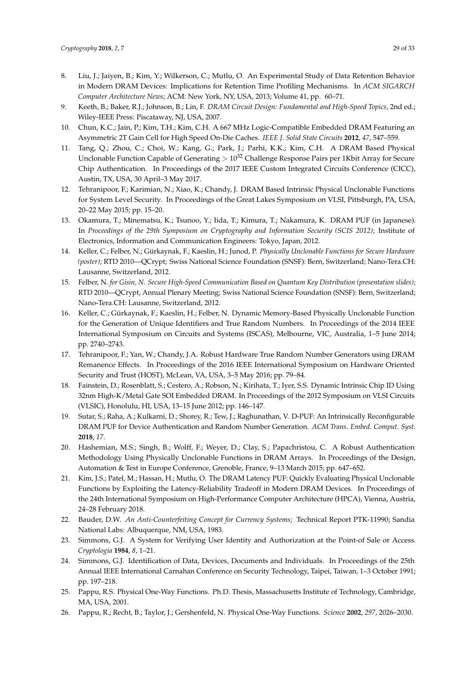- <span id="page-28-0"></span>8. Liu, J.; Jaiyen, B.; Kim, Y.; Wilkerson, C.; Mutlu, O. An Experimental Study of Data Retention Behavior in Modern DRAM Devices: Implications for Retention Time Profiling Mechanisms. In *ACM SIGARCH Computer Architecture News*; ACM: New York, NY, USA, 2013; Volume 41, pp. 60–71.
- <span id="page-28-1"></span>9. Keeth, B.; Baker, R.J.; Johnson, B.; Lin, F. *DRAM Circuit Design: Fundamental and High-Speed Topics*, 2nd ed.; Wiley-IEEE Press: Piscataway, NJ, USA, 2007.
- <span id="page-28-2"></span>10. Chun, K.C.; Jain, P.; Kim, T.H.; Kim, C.H. A 667 MHz Logic-Compatible Embedded DRAM Featuring an Asymmetric 2T Gain Cell for High Speed On-Die Caches. *IEEE J. Solid State Circuits* **2012**, *47*, 547–559.
- <span id="page-28-3"></span>11. Tang, Q.; Zhou, C.; Choi, W.; Kang, G.; Park, J.; Parhi, K.K.; Kim, C.H. A DRAM Based Physical Unclonable Function Capable of Generating  $> 10^{32}$  Challenge Response Pairs per 1Kbit Array for Secure Chip Authentication. In Proceedings of the 2017 IEEE Custom Integrated Circuits Conference (CICC), Austin, TX, USA, 30 April–3 May 2017.
- <span id="page-28-4"></span>12. Tehranipoor, F.; Karimian, N.; Xiao, K.; Chandy, J. DRAM Based Intrinsic Physical Unclonable Functions for System Level Security. In Proceedings of the Great Lakes Symposium on VLSI, Pittsburgh, PA, USA, 20–22 May 2015; pp. 15–20.
- <span id="page-28-5"></span>13. Okamura, T.; Minematsu, K.; Tsunoo, Y.; Iida, T.; Kimura, T.; Nakamura, K. DRAM PUF (in Japanese). In *Proceedings of the 29th Symposium on Cryptography and Information Security (SCIS 2012)*; Institute of Electronics, Information and Communication Engineers: Tokyo, Japan, 2012.
- <span id="page-28-16"></span>14. Keller, C.; Felber, N.; Gürkaynak, F.; Kaeslin, H.; Junod, P. *Physically Unclonable Functions for Secure Hardware (poster)*; RTD 2010—QCrypt; Swiss National Science Foundation (SNSF): Bern, Switzerland; Nano-Tera.CH: Lausanne, Switzerland, 2012.
- <span id="page-28-17"></span>15. Felber, N. *for Gisin, N*. *Secure High-Speed Communication Based on Quantum Key Distribution (presentation slides)*; RTD 2010—QCrypt, Annual Plenary Meeting; Swiss National Science Foundation (SNSF): Bern, Switzerland; Nano-Tera.CH: Lausanne, Switzerland, 2012.
- <span id="page-28-6"></span>16. Keller, C.; Gürkaynak, F.; Kaeslin, H.; Felber, N. Dynamic Memory-Based Physically Unclonable Function for the Generation of Unique Identifiers and True Random Numbers. In Proceedings of the 2014 IEEE International Symposium on Circuits and Systems (ISCAS), Melbourne, VIC, Australia, 1–5 June 2014; pp. 2740–2743.
- <span id="page-28-7"></span>17. Tehranipoor, F.; Yan, W.; Chandy, J.A. Robust Hardware True Random Number Generators using DRAM Remanence Effects. In Proceedings of the 2016 IEEE International Symposium on Hardware Oriented Security and Trust (HOST), McLean, VA, USA, 3–5 May 2016; pp. 79–84.
- <span id="page-28-8"></span>18. Fainstein, D.; Rosenblatt, S.; Cestero, A.; Robson, N.; Kirihata, T.; Iyer, S.S. Dynamic Intrinsic Chip ID Using 32nm High-K/Metal Gate SOI Embedded DRAM. In Proceedings of the 2012 Symposium on VLSI Circuits (VLSIC), Honolulu, HI, USA, 13–15 June 2012; pp. 146–147.
- <span id="page-28-9"></span>19. Sutar, S.; Raha, A.; Kulkarni, D.; Shorey, R.; Tew, J.; Raghunathan, V. D-PUF: An Intrinsically Reconfigurable DRAM PUF for Device Authentication and Random Number Generation. *ACM Trans. Embed. Comput. Syst.* **2018**, *17*.
- <span id="page-28-10"></span>20. Hashemian, M.S.; Singh, B.; Wolff, F.; Weyer, D.; Clay, S.; Papachristou, C. A Robust Authentication Methodology Using Physically Unclonable Functions in DRAM Arrays. In Proceedings of the Design, Automation & Test in Europe Conference, Grenoble, France, 9–13 March 2015; pp. 647–652.
- <span id="page-28-11"></span>21. Kim, J.S.; Patel, M.; Hassan, H.; Mutlu, O. The DRAM Latency PUF: Quickly Evaluating Physical Unclonable Functions by Exploiting the Latency-Reliability Tradeoff in Modern DRAM Devices. In Proceedings of the 24th International Symposium on High-Performance Computer Architecture (HPCA), Vienna, Austria, 24–28 February 2018.
- <span id="page-28-12"></span>22. Bauder, D.W. *An Anti-Counterfeiting Concept for Currency Systems*; Technical Report PTK-11990; Sandia National Labs: Albuquerque, NM, USA, 1983.
- 23. Simmons, G.J. A System for Verifying User Identity and Authorization at the Point-of Sale or Access. *Cryptologia* **1984**, *8*, 1–21.
- <span id="page-28-13"></span>24. Simmons, G.J. Identification of Data, Devices, Documents and Individuals. In Proceedings of the 25th Annual IEEE International Carnahan Conference on Security Technology, Taipei, Taiwan, 1–3 October 1991; pp. 197–218.
- <span id="page-28-14"></span>25. Pappu, R.S. Physical One-Way Functions. Ph.D. Thesis, Massachusetts Institute of Technology, Cambridge, MA, USA, 2001.
- <span id="page-28-15"></span>26. Pappu, R.; Recht, B.; Taylor, J.; Gershenfeld, N. Physical One-Way Functions. *Science* **2002**, *297*, 2026–2030.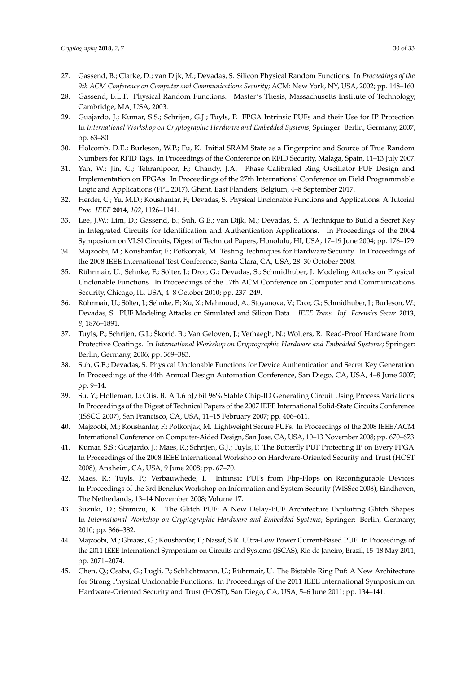- <span id="page-29-0"></span>27. Gassend, B.; Clarke, D.; van Dijk, M.; Devadas, S. Silicon Physical Random Functions. In *Proceedings of the 9th ACM Conference on Computer and Communications Security*; ACM: New York, NY, USA, 2002; pp. 148–160.
- <span id="page-29-1"></span>28. Gassend, B.L.P. Physical Random Functions. Master's Thesis, Massachusetts Institute of Technology, Cambridge, MA, USA, 2003.
- <span id="page-29-2"></span>29. Guajardo, J.; Kumar, S.S.; Schrijen, G.J.; Tuyls, P. FPGA Intrinsic PUFs and their Use for IP Protection. In *International Workshop on Cryptographic Hardware and Embedded Systems*; Springer: Berlin, Germany, 2007; pp. 63–80.
- <span id="page-29-3"></span>30. Holcomb, D.E.; Burleson, W.P.; Fu, K. Initial SRAM State as a Fingerprint and Source of True Random Numbers for RFID Tags. In Proceedings of the Conference on RFID Security, Malaga, Spain, 11–13 July 2007.
- <span id="page-29-4"></span>31. Yan, W.; Jin, C.; Tehranipoor, F.; Chandy, J.A. Phase Calibrated Ring Oscillator PUF Design and Implementation on FPGAs. In Proceedings of the 27th International Conference on Field Programmable Logic and Applications (FPL 2017), Ghent, East Flanders, Belgium, 4–8 September 2017.
- <span id="page-29-5"></span>32. Herder, C.; Yu, M.D.; Koushanfar, F.; Devadas, S. Physical Unclonable Functions and Applications: A Tutorial. *Proc. IEEE* **2014**, *102*, 1126–1141.
- <span id="page-29-6"></span>33. Lee, J.W.; Lim, D.; Gassend, B.; Suh, G.E.; van Dijk, M.; Devadas, S. A Technique to Build a Secret Key in Integrated Circuits for Identification and Authentication Applications. In Proceedings of the 2004 Symposium on VLSI Circuits, Digest of Technical Papers, Honolulu, HI, USA, 17–19 June 2004; pp. 176–179.
- 34. Majzoobi, M.; Koushanfar, F.; Potkonjak, M. Testing Techniques for Hardware Security. In Proceedings of the 2008 IEEE International Test Conference, Santa Clara, CA, USA, 28–30 October 2008.
- <span id="page-29-8"></span>35. Rührmair, U.; Sehnke, F.; Sölter, J.; Dror, G.; Devadas, S.; Schmidhuber, J. Modeling Attacks on Physical Unclonable Functions. In Proceedings of the 17th ACM Conference on Computer and Communications Security, Chicago, IL, USA, 4–8 October 2010; pp. 237–249.
- <span id="page-29-7"></span>36. Rührmair, U.; Sölter, J.; Sehnke, F.; Xu, X.; Mahmoud, A.; Stoyanova, V.; Dror, G.; Schmidhuber, J.; Burleson, W.; Devadas, S. PUF Modeling Attacks on Simulated and Silicon Data. *IEEE Trans. Inf. Forensics Secur.* **2013**, *8*, 1876–1891.
- <span id="page-29-9"></span>37. Tuyls, P.; Schrijen, G.J.; Škorić, B.; Van Geloven, J.; Verhaegh, N.; Wolters, R. Read-Proof Hardware from Protective Coatings. In *International Workshop on Cryptographic Hardware and Embedded Systems*; Springer: Berlin, Germany, 2006; pp. 369–383.
- <span id="page-29-10"></span>38. Suh, G.E.; Devadas, S. Physical Unclonable Functions for Device Authentication and Secret Key Generation. In Proceedings of the 44th Annual Design Automation Conference, San Diego, CA, USA, 4–8 June 2007; pp. 9–14.
- <span id="page-29-11"></span>39. Su, Y.; Holleman, J.; Otis, B. A 1.6 pJ/bit 96% Stable Chip-ID Generating Circuit Using Process Variations. In Proceedings of the Digest of Technical Papers of the 2007 IEEE International Solid-State Circuits Conference (ISSCC 2007), San Francisco, CA, USA, 11–15 February 2007; pp. 406–611.
- <span id="page-29-12"></span>40. Majzoobi, M.; Koushanfar, F.; Potkonjak, M. Lightweight Secure PUFs. In Proceedings of the 2008 IEEE/ACM International Conference on Computer-Aided Design, San Jose, CA, USA, 10–13 November 2008; pp. 670–673.
- <span id="page-29-13"></span>41. Kumar, S.S.; Guajardo, J.; Maes, R.; Schrijen, G.J.; Tuyls, P. The Butterfly PUF Protecting IP on Every FPGA. In Proceedings of the 2008 IEEE International Workshop on Hardware-Oriented Security and Trust (HOST 2008), Anaheim, CA, USA, 9 June 2008; pp. 67–70.
- <span id="page-29-14"></span>42. Maes, R.; Tuyls, P.; Verbauwhede, I. Intrinsic PUFs from Flip-Flops on Reconfigurable Devices. In Proceedings of the 3rd Benelux Workshop on Information and System Security (WISSec 2008), Eindhoven, The Netherlands, 13–14 November 2008; Volume 17.
- <span id="page-29-15"></span>43. Suzuki, D.; Shimizu, K. The Glitch PUF: A New Delay-PUF Architecture Exploiting Glitch Shapes. In *International Workshop on Cryptographic Hardware and Embedded Systems*; Springer: Berlin, Germany, 2010; pp. 366–382.
- <span id="page-29-16"></span>44. Majzoobi, M.; Ghiaasi, G.; Koushanfar, F.; Nassif, S.R. Ultra-Low Power Current-Based PUF. In Proceedings of the 2011 IEEE International Symposium on Circuits and Systems (ISCAS), Rio de Janeiro, Brazil, 15–18 May 2011; pp. 2071–2074.
- <span id="page-29-17"></span>45. Chen, Q.; Csaba, G.; Lugli, P.; Schlichtmann, U.; Rührmair, U. The Bistable Ring Puf: A New Architecture for Strong Physical Unclonable Functions. In Proceedings of the 2011 IEEE International Symposium on Hardware-Oriented Security and Trust (HOST), San Diego, CA, USA, 5–6 June 2011; pp. 134–141.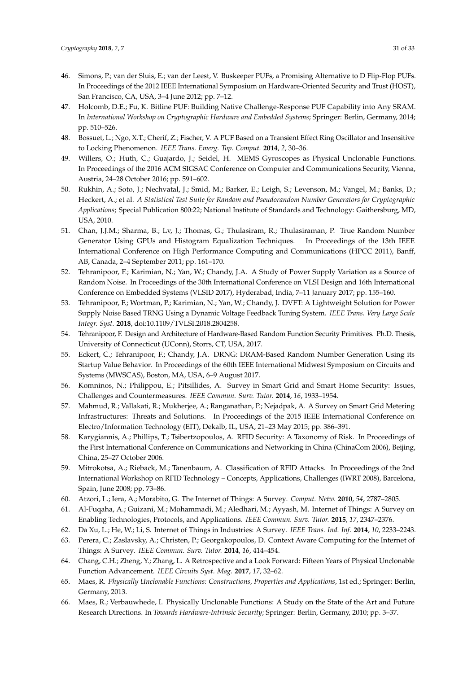- <span id="page-30-0"></span>46. Simons, P.; van der Sluis, E.; van der Leest, V. Buskeeper PUFs, a Promising Alternative to D Flip-Flop PUFs. In Proceedings of the 2012 IEEE International Symposium on Hardware-Oriented Security and Trust (HOST), San Francisco, CA, USA, 3–4 June 2012; pp. 7–12.
- <span id="page-30-1"></span>47. Holcomb, D.E.; Fu, K. Bitline PUF: Building Native Challenge-Response PUF Capability into Any SRAM. In *International Workshop on Cryptographic Hardware and Embedded Systems*; Springer: Berlin, Germany, 2014; pp. 510–526.
- <span id="page-30-2"></span>48. Bossuet, L.; Ngo, X.T.; Cherif, Z.; Fischer, V. A PUF Based on a Transient Effect Ring Oscillator and Insensitive to Locking Phenomenon. *IEEE Trans. Emerg. Top. Comput.* **2014**, *2*, 30–36.
- <span id="page-30-3"></span>49. Willers, O.; Huth, C.; Guajardo, J.; Seidel, H. MEMS Gyroscopes as Physical Unclonable Functions. In Proceedings of the 2016 ACM SIGSAC Conference on Computer and Communications Security, Vienna, Austria, 24–28 October 2016; pp. 591–602.
- <span id="page-30-4"></span>50. Rukhin, A.; Soto, J.; Nechvatal, J.; Smid, M.; Barker, E.; Leigh, S.; Levenson, M.; Vangel, M.; Banks, D.; Heckert, A.; et al. *A Statistical Test Suite for Random and Pseudorandom Number Generators for Cryptographic Applications*; Special Publication 800:22; National Institute of Standards and Technology: Gaithersburg, MD, USA, 2010.
- <span id="page-30-5"></span>51. Chan, J.J.M.; Sharma, B.; Lv, J.; Thomas, G.; Thulasiram, R.; Thulasiraman, P. True Random Number Generator Using GPUs and Histogram Equalization Techniques. In Proceedings of the 13th IEEE International Conference on High Performance Computing and Communications (HPCC 2011), Banff, AB, Canada, 2–4 September 2011; pp. 161–170.
- <span id="page-30-6"></span>52. Tehranipoor, F.; Karimian, N.; Yan, W.; Chandy, J.A. A Study of Power Supply Variation as a Source of Random Noise. In Proceedings of the 30th International Conference on VLSI Design and 16th International Conference on Embedded Systems (VLSID 2017), Hyderabad, India, 7–11 January 2017; pp. 155–160.
- <span id="page-30-7"></span>53. Tehranipoor, F.; Wortman, P.; Karimian, N.; Yan, W.; Chandy, J. DVFT: A Lightweight Solution for Power Supply Noise Based TRNG Using a Dynamic Voltage Feedback Tuning System. *IEEE Trans. Very Large Scale Integr. Syst.* **2018**, doi:10.1109/TVLSI.2018.2804258.
- <span id="page-30-8"></span>54. Tehranipoor, F. Design and Architecture of Hardware-Based Random Function Security Primitives. Ph.D. Thesis, University of Connecticut (UConn), Storrs, CT, USA, 2017.
- <span id="page-30-9"></span>55. Eckert, C.; Tehranipoor, F.; Chandy, J.A. DRNG: DRAM-Based Random Number Generation Using its Startup Value Behavior. In Proceedings of the 60th IEEE International Midwest Symposium on Circuits and Systems (MWSCAS), Boston, MA, USA, 6–9 August 2017.
- <span id="page-30-10"></span>56. Komninos, N.; Philippou, E.; Pitsillides, A. Survey in Smart Grid and Smart Home Security: Issues, Challenges and Countermeasures. *IEEE Commun. Surv. Tutor.* **2014**, *16*, 1933–1954.
- <span id="page-30-11"></span>57. Mahmud, R.; Vallakati, R.; Mukherjee, A.; Ranganathan, P.; Nejadpak, A. A Survey on Smart Grid Metering Infrastructures: Threats and Solutions. In Proceedings of the 2015 IEEE International Conference on Electro/Information Technology (EIT), Dekalb, IL, USA, 21–23 May 2015; pp. 386–391.
- <span id="page-30-12"></span>58. Karygiannis, A.; Phillips, T.; Tsibertzopoulos, A. RFID Security: A Taxonomy of Risk. In Proceedings of the First International Conference on Communications and Networking in China (ChinaCom 2006), Beijing, China, 25–27 October 2006.
- <span id="page-30-13"></span>59. Mitrokotsa, A.; Rieback, M.; Tanenbaum, A. Classification of RFID Attacks. In Proceedings of the 2nd International Workshop on RFID Technology – Concepts, Applications, Challenges (IWRT 2008), Barcelona, Spain, June 2008; pp. 73–86.
- <span id="page-30-14"></span>60. Atzori, L.; Iera, A.; Morabito, G. The Internet of Things: A Survey. *Comput. Netw.* **2010**, *54*, 2787–2805.
- 61. Al-Fuqaha, A.; Guizani, M.; Mohammadi, M.; Aledhari, M.; Ayyash, M. Internet of Things: A Survey on Enabling Technologies, Protocols, and Applications. *IEEE Commun. Surv. Tutor.* **2015**, *17*, 2347–2376.
- 62. Da Xu, L.; He, W.; Li, S. Internet of Things in Industries: A Survey. *IEEE Trans. Ind. Inf.* **2014**, *10*, 2233–2243.
- <span id="page-30-15"></span>63. Perera, C.; Zaslavsky, A.; Christen, P.; Georgakopoulos, D. Context Aware Computing for the Internet of Things: A Survey. *IEEE Commun. Surv. Tutor.* **2014**, *16*, 414–454.
- <span id="page-30-16"></span>64. Chang, C.H.; Zheng, Y.; Zhang, L. A Retrospective and a Look Forward: Fifteen Years of Physical Unclonable Function Advancement. *IEEE Circuits Syst. Mag.* **2017**, *17*, 32–62.
- 65. Maes, R. *Physically Unclonable Functions: Constructions, Properties and Applications*, 1st ed.; Springer: Berlin, Germany, 2013.
- 66. Maes, R.; Verbauwhede, I. Physically Unclonable Functions: A Study on the State of the Art and Future Research Directions. In *Towards Hardware-Intrinsic Security*; Springer: Berlin, Germany, 2010; pp. 3–37.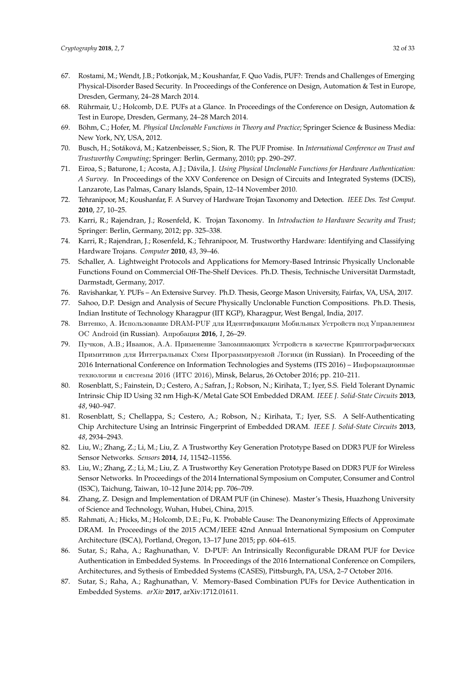- 67. Rostami, M.; Wendt, J.B.; Potkonjak, M.; Koushanfar, F. Quo Vadis, PUF?: Trends and Challenges of Emerging Physical-Disorder Based Security. In Proceedings of the Conference on Design, Automation & Test in Europe, Dresden, Germany, 24–28 March 2014.
- 68. Rührmair, U.; Holcomb, D.E. PUFs at a Glance. In Proceedings of the Conference on Design, Automation & Test in Europe, Dresden, Germany, 24–28 March 2014.
- 69. Böhm, C.; Hofer, M. *Physical Unclonable Functions in Theory and Practice*; Springer Science & Business Media: New York, NY, USA, 2012.
- 70. Busch, H.; Sotáková, M.; Katzenbeisser, S.; Sion, R. The PUF Promise. In *International Conference on Trust and Trustworthy Computing*; Springer: Berlin, Germany, 2010; pp. 290–297.
- <span id="page-31-0"></span>71. Eiroa, S.; Baturone, I.; Acosta, A.J.; Dávila, J. *Using Physical Unclonable Functions for Hardware Authentication: A Survey*. In Proceedings of the XXV Conference on Design of Circuits and Integrated Systems (DCIS), Lanzarote, Las Palmas, Canary Islands, Spain, 12–14 November 2010.
- <span id="page-31-1"></span>72. Tehranipoor, M.; Koushanfar, F. A Survey of Hardware Trojan Taxonomy and Detection. *IEEE Des. Test Comput.* **2010**, *27*, 10–25.
- 73. Karri, R.; Rajendran, J.; Rosenfeld, K. Trojan Taxonomy. In *Introduction to Hardware Security and Trust*; Springer: Berlin, Germany, 2012; pp. 325–338.
- <span id="page-31-2"></span>74. Karri, R.; Rajendran, J.; Rosenfeld, K.; Tehranipoor, M. Trustworthy Hardware: Identifying and Classifying Hardware Trojans. *Computer* **2010**, *43*, 39–46.
- <span id="page-31-3"></span>75. Schaller, A. Lightweight Protocols and Applications for Memory-Based Intrinsic Physically Unclonable Functions Found on Commercial Off-The-Shelf Devices. Ph.D. Thesis, Technische Universität Darmstadt, Darmstadt, Germany, 2017.
- <span id="page-31-4"></span>76. Ravishankar, Y. PUFs – An Extensive Survey. Ph.D. Thesis, George Mason University, Fairfax, VA, USA, 2017.
- <span id="page-31-5"></span>77. Sahoo, D.P. Design and Analysis of Secure Physically Unclonable Function Compositions. Ph.D. Thesis, Indian Institute of Technology Kharagpur (IIT KGP), Kharagpur, West Bengal, India, 2017.
- <span id="page-31-6"></span>78. Витенко, А. Использование DRAM-PUF для Идентификации Мобильных Устройств под Управлением ОС Android (in Russian). Апробация **2016**, *1*, 26–29.
- <span id="page-31-7"></span>79. Пучков, А.В.; Иванюк, А.А. Применение Запоминающих Устройств в качестве Криптографических Примитивов для Интегральных Схем Программируемой Логики (in Russian). In Proceeding of the 2016 International Conference on Information Technologies and Systems (ITS 2016) – Информационные технологии и системы 2016 (ИТС 2016), Minsk, Belarus, 26 October 2016; pp. 210–211.
- <span id="page-31-8"></span>80. Rosenblatt, S.; Fainstein, D.; Cestero, A.; Safran, J.; Robson, N.; Kirihata, T.; Iyer, S.S. Field Tolerant Dynamic Intrinsic Chip ID Using 32 nm High-K/Metal Gate SOI Embedded DRAM. *IEEE J. Solid-State Circuits* **2013**, *48*, 940–947.
- <span id="page-31-9"></span>81. Rosenblatt, S.; Chellappa, S.; Cestero, A.; Robson, N.; Kirihata, T.; Iyer, S.S. A Self-Authenticating Chip Architecture Using an Intrinsic Fingerprint of Embedded DRAM. *IEEE J. Solid-State Circuits* **2013**, *48*, 2934–2943.
- <span id="page-31-10"></span>82. Liu, W.; Zhang, Z.; Li, M.; Liu, Z. A Trustworthy Key Generation Prototype Based on DDR3 PUF for Wireless Sensor Networks. *Sensors* **2014**, *14*, 11542–11556.
- <span id="page-31-11"></span>83. Liu, W.; Zhang, Z.; Li, M.; Liu, Z. A Trustworthy Key Generation Prototype Based on DDR3 PUF for Wireless Sensor Networks. In Proceedings of the 2014 International Symposium on Computer, Consumer and Control (IS3C), Taichung, Taiwan, 10–12 June 2014; pp. 706–709.
- <span id="page-31-12"></span>84. Zhang, Z. Design and Implementation of DRAM PUF (in Chinese). Master's Thesis, Huazhong University of Science and Technology, Wuhan, Hubei, China, 2015.
- <span id="page-31-13"></span>85. Rahmati, A.; Hicks, M.; Holcomb, D.E.; Fu, K. Probable Cause: The Deanonymizing Effects of Approximate DRAM. In Proceedings of the 2015 ACM/IEEE 42nd Annual International Symposium on Computer Architecture (ISCA), Portland, Oregon, 13–17 June 2015; pp. 604–615.
- <span id="page-31-14"></span>86. Sutar, S.; Raha, A.; Raghunathan, V. D-PUF: An Intrinsically Reconfigurable DRAM PUF for Device Authentication in Embedded Systems. In Proceedings of the 2016 International Conference on Compilers, Architectures, and Sythesis of Embedded Systems (CASES), Pittsburgh, PA, USA, 2–7 October 2016.
- <span id="page-31-15"></span>87. Sutar, S.; Raha, A.; Raghunathan, V. Memory-Based Combination PUFs for Device Authentication in Embedded Systems. *arXiv* **2017**, arXiv:1712.01611.